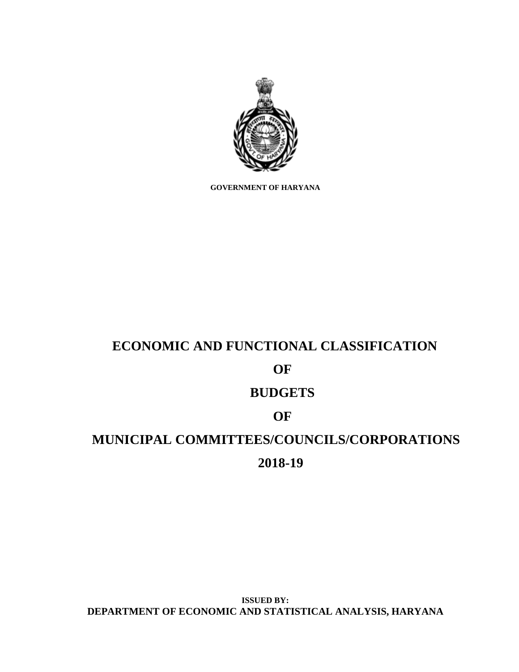

**GOVERNMENT OF HARYANA**

# **ECONOMIC AND FUNCTIONAL CLASSIFICATION OF BUDGETS OF MUNICIPAL COMMITTEES/COUNCILS/CORPORATIONS 2018-19**

**ISSUED BY: DEPARTMENT OF ECONOMIC AND STATISTICAL ANALYSIS, HARYANA**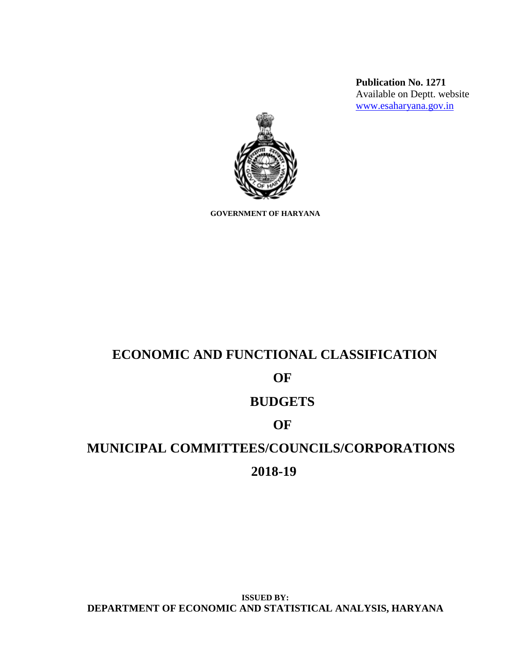**Publication No. 1271** Available on Deptt. website [www.esaharyana.gov.in](http://www.esaharyana.gov.in/)



**GOVERNMENT OF HARYANA**

# **ECONOMIC AND FUNCTIONAL CLASSIFICATION**

# **OF**

# **BUDGETS**

# **OF**

# **MUNICIPAL COMMITTEES/COUNCILS/CORPORATIONS**

## **2018-19**

**ISSUED BY: DEPARTMENT OF ECONOMIC AND STATISTICAL ANALYSIS, HARYANA**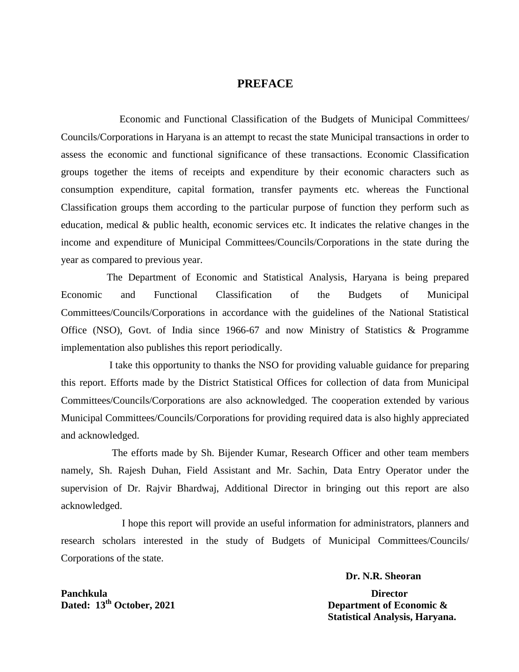#### **PREFACE**

 Economic and Functional Classification of the Budgets of Municipal Committees/ Councils/Corporations in Haryana is an attempt to recast the state Municipal transactions in order to assess the economic and functional significance of these transactions. Economic Classification groups together the items of receipts and expenditure by their economic characters such as consumption expenditure, capital formation, transfer payments etc. whereas the Functional Classification groups them according to the particular purpose of function they perform such as education, medical & public health, economic services etc. It indicates the relative changes in the income and expenditure of Municipal Committees/Councils/Corporations in the state during the year as compared to previous year.

 The Department of Economic and Statistical Analysis, Haryana is being prepared Economic and Functional Classification of the Budgets of Municipal Committees/Councils/Corporations in accordance with the guidelines of the National Statistical Office (NSO), Govt. of India since 1966-67 and now Ministry of Statistics & Programme implementation also publishes this report periodically.

 I take this opportunity to thanks the NSO for providing valuable guidance for preparing this report. Efforts made by the District Statistical Offices for collection of data from Municipal Committees/Councils/Corporations are also acknowledged. The cooperation extended by various Municipal Committees/Councils/Corporations for providing required data is also highly appreciated and acknowledged.

 The efforts made by Sh. Bijender Kumar, Research Officer and other team members namely, Sh. Rajesh Duhan, Field Assistant and Mr. Sachin, Data Entry Operator under the supervision of Dr. Rajvir Bhardwaj, Additional Director in bringing out this report are also acknowledged.

I hope this report will provide an useful information for administrators, planners and research scholars interested in the study of Budgets of Municipal Committees/Councils/ Corporations of the state.

#### **Dr. N.R. Sheoran**

**Dated:** 13<sup>th</sup> October, 2021 Department of Economic &  **Statistical Analysis, Haryana.** 

**Panchkula** Director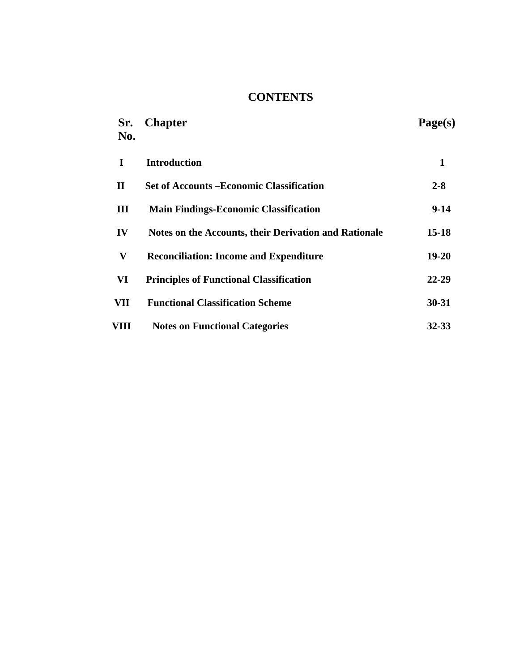# **CONTENTS**

| Sr.<br>No.   | <b>Chapter</b>                                        | Page(s)   |
|--------------|-------------------------------------------------------|-----------|
| I            | <b>Introduction</b>                                   | 1         |
| $\mathbf H$  | <b>Set of Accounts – Economic Classification</b>      | $2 - 8$   |
| Ш            | <b>Main Findings-Economic Classification</b>          | $9-14$    |
| IV           | Notes on the Accounts, their Derivation and Rationale | 15-18     |
| $\mathbf{V}$ | <b>Reconciliation: Income and Expenditure</b>         | $19 - 20$ |
| VI           | <b>Principles of Functional Classification</b>        | 22-29     |
| VII          | <b>Functional Classification Scheme</b>               | $30 - 31$ |
| VIII         | <b>Notes on Functional Categories</b>                 | 32-33     |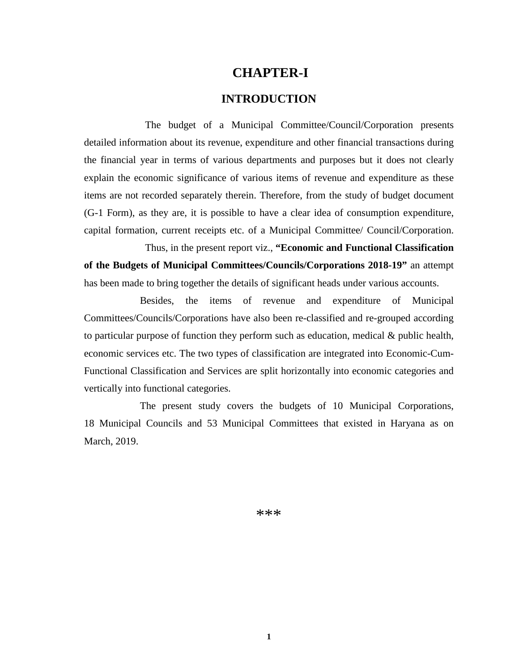### **CHAPTER-I**

#### **INTRODUCTION**

 The budget of a Municipal Committee/Council/Corporation presents detailed information about its revenue, expenditure and other financial transactions during the financial year in terms of various departments and purposes but it does not clearly explain the economic significance of various items of revenue and expenditure as these items are not recorded separately therein. Therefore, from the study of budget document (G-1 Form), as they are, it is possible to have a clear idea of consumption expenditure, capital formation, current receipts etc. of a Municipal Committee/ Council/Corporation.

Thus, in the present report viz., **"Economic and Functional Classification of the Budgets of Municipal Committees/Councils/Corporations 2018-19"** an attempt has been made to bring together the details of significant heads under various accounts.

 Besides, the items of revenue and expenditure of Municipal Committees/Councils/Corporations have also been re-classified and re-grouped according to particular purpose of function they perform such as education, medical & public health, economic services etc. The two types of classification are integrated into Economic-Cum-Functional Classification and Services are split horizontally into economic categories and vertically into functional categories.

 The present study covers the budgets of 10 Municipal Corporations, 18 Municipal Councils and 53 Municipal Committees that existed in Haryana as on March, 2019.

\*\*\*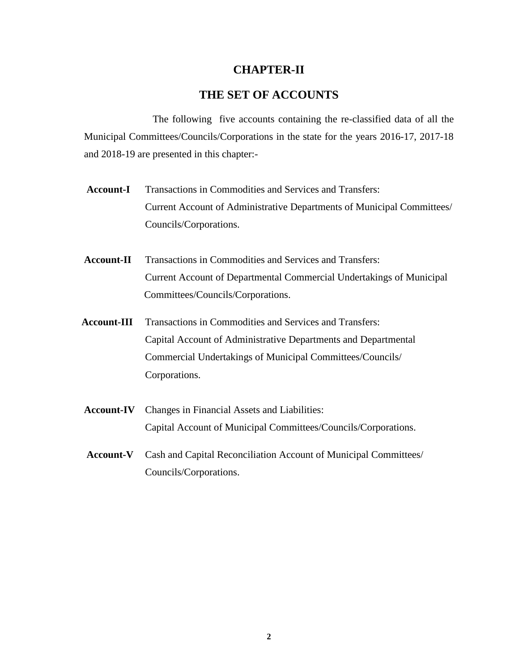#### **CHAPTER-II**

### **THE SET OF ACCOUNTS**

The following five accounts containing the re-classified data of all the Municipal Committees/Councils/Corporations in the state for the years 2016-17, 2017-18 and 2018-19 are presented in this chapter:-

- Account-I Transactions in Commodities and Services and Transfers: Current Account of Administrative Departments of Municipal Committees/ Councils/Corporations.
- **Account-II** Transactions in Commodities and Services and Transfers: Current Account of Departmental Commercial Undertakings of Municipal Committees/Councils/Corporations.
- **Account-III** Transactions in Commodities and Services and Transfers: Capital Account of Administrative Departments and Departmental Commercial Undertakings of Municipal Committees/Councils/ Corporations.
- **Account-IV** Changes in Financial Assets and Liabilities: Capital Account of Municipal Committees/Councils/Corporations.
- **Account-V** Cash and Capital Reconciliation Account of Municipal Committees/ Councils/Corporations.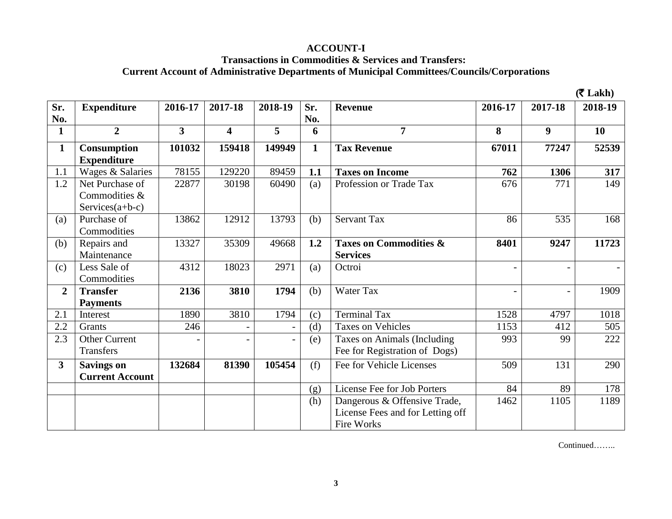### **ACCOUNT-I**

#### **Transactions in Commodities & Services and Transfers: Current Account of Administrative Departments of Municipal Committees/Councils/Corporations**

 $($  $\overline{\mathbf{z}}$  **Lakh**)

| Sr.            | <b>Expenditure</b>     | 2016-17                 | 2017-18                 | 2018-19 | Sr.          | <b>Revenue</b>                    | 2016-17                  | 2017-18          | 2018-19 |
|----------------|------------------------|-------------------------|-------------------------|---------|--------------|-----------------------------------|--------------------------|------------------|---------|
| No.            |                        |                         |                         |         | No.          |                                   |                          |                  |         |
| $\mathbf{1}$   | $\overline{2}$         | $\overline{\mathbf{3}}$ | $\overline{\mathbf{4}}$ | 5       | 6            | $\overline{7}$                    | 8                        | $\boldsymbol{9}$ | 10      |
| $\mathbf{1}$   | Consumption            | 101032                  | 159418                  | 149949  | $\mathbf{1}$ | <b>Tax Revenue</b>                | 67011                    | 77247            | 52539   |
|                | <b>Expenditure</b>     |                         |                         |         |              |                                   |                          |                  |         |
| 1.1            | Wages & Salaries       | 78155                   | 129220                  | 89459   | 1.1          | <b>Taxes on Income</b>            | 762                      | 1306             | 317     |
| 1.2            | Net Purchase of        | 22877                   | 30198                   | 60490   | (a)          | Profession or Trade Tax           | 676                      | 771              | 149     |
|                | Commodities &          |                         |                         |         |              |                                   |                          |                  |         |
|                | Services $(a+b-c)$     |                         |                         |         |              |                                   |                          |                  |         |
| (a)            | Purchase of            | 13862                   | 12912                   | 13793   | (b)          | <b>Servant Tax</b>                | 86                       | 535              | 168     |
|                | Commodities            |                         |                         |         |              |                                   |                          |                  |         |
| (b)            | Repairs and            | 13327                   | 35309                   | 49668   | 1.2          | <b>Taxes on Commodities &amp;</b> | 8401                     | 9247             | 11723   |
|                | Maintenance            |                         |                         |         |              | <b>Services</b>                   |                          |                  |         |
| (c)            | Less Sale of           | 4312                    | 18023                   | 2971    | (a)          | Octroi                            |                          |                  |         |
|                | Commodities            |                         |                         |         |              |                                   |                          |                  |         |
| $\overline{2}$ | <b>Transfer</b>        | 2136                    | 3810                    | 1794    | (b)          | Water Tax                         | $\overline{\phantom{a}}$ | $\overline{a}$   | 1909    |
|                | <b>Payments</b>        |                         |                         |         |              |                                   |                          |                  |         |
| 2.1            | Interest               | 1890                    | 3810                    | 1794    | (c)          | <b>Terminal Tax</b>               | 1528                     | 4797             | 1018    |
| 2.2            | Grants                 | 246                     |                         |         | (d)          | <b>Taxes on Vehicles</b>          | 1153                     | 412              | 505     |
| 2.3            | <b>Other Current</b>   |                         |                         |         | (e)          | Taxes on Animals (Including       | 993                      | 99               | 222     |
|                | Transfers              |                         |                         |         |              | Fee for Registration of Dogs)     |                          |                  |         |
| $\mathbf{3}$   | <b>Savings on</b>      | 132684                  | 81390                   | 105454  | (f)          | Fee for Vehicle Licenses          | 509                      | 131              | 290     |
|                | <b>Current Account</b> |                         |                         |         |              |                                   |                          |                  |         |
|                |                        |                         |                         |         | (g)          | License Fee for Job Porters       | 84                       | 89               | 178     |
|                |                        |                         |                         |         | (h)          | Dangerous & Offensive Trade,      | 1462                     | 1105             | 1189    |
|                |                        |                         |                         |         |              | License Fees and for Letting off  |                          |                  |         |
|                |                        |                         |                         |         |              | Fire Works                        |                          |                  |         |

Continued……..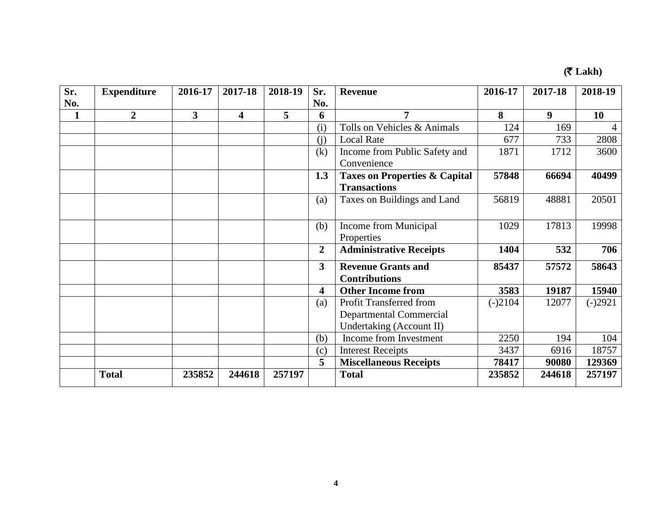# **(**` **Lakh)**

| Sr. | <b>Expenditure</b> | 2016-17 | 2017-18 | 2018-19 | Sr.                     | <b>Revenue</b>                           | 2016-17   | 2017-18          | 2018-19   |
|-----|--------------------|---------|---------|---------|-------------------------|------------------------------------------|-----------|------------------|-----------|
| No. |                    |         |         |         | No.                     |                                          |           |                  |           |
| 1   | $\overline{2}$     | 3       | 4       | 5       | 6                       | 7                                        | 8         | $\boldsymbol{9}$ | 10        |
|     |                    |         |         |         | (i)                     | Tolls on Vehicles & Animals              | 124       | 169              | 4         |
|     |                    |         |         |         | (i)                     | <b>Local Rate</b>                        | 677       | 733              | 2808      |
|     |                    |         |         |         | (k)                     | Income from Public Safety and            | 1871      | 1712             | 3600      |
|     |                    |         |         |         |                         | Convenience                              |           |                  |           |
|     |                    |         |         |         | 1.3                     | <b>Taxes on Properties &amp; Capital</b> | 57848     | 66694            | 40499     |
|     |                    |         |         |         |                         | <b>Transactions</b>                      |           |                  |           |
|     |                    |         |         |         | (a)                     | Taxes on Buildings and Land              | 56819     | 48881            | 20501     |
|     |                    |         |         |         |                         |                                          |           |                  |           |
|     |                    |         |         |         | (b)                     | Income from Municipal                    | 1029      | 17813            | 19998     |
|     |                    |         |         |         |                         | Properties                               |           |                  |           |
|     |                    |         |         |         | $\overline{2}$          | <b>Administrative Receipts</b>           | 1404      | 532              | 706       |
|     |                    |         |         |         | $\overline{\mathbf{3}}$ | <b>Revenue Grants and</b>                | 85437     | 57572            | 58643     |
|     |                    |         |         |         |                         | <b>Contributions</b>                     |           |                  |           |
|     |                    |         |         |         | 4                       | <b>Other Income from</b>                 | 3583      | 19187            | 15940     |
|     |                    |         |         |         | (a)                     | Profit Transferred from                  | $(-)2104$ | 12077            | $(-)2921$ |
|     |                    |         |         |         |                         | <b>Departmental Commercial</b>           |           |                  |           |
|     |                    |         |         |         |                         | Undertaking (Account II)                 |           |                  |           |
|     |                    |         |         |         | (b)                     | Income from Investment                   | 2250      | 194              | 104       |
|     |                    |         |         |         | (c)                     | <b>Interest Receipts</b>                 | 3437      | 6916             | 18757     |
|     |                    |         |         |         | 5                       | <b>Miscellaneous Receipts</b>            | 78417     | 90080            | 129369    |
|     | <b>Total</b>       | 235852  | 244618  | 257197  |                         | <b>Total</b>                             | 235852    | 244618           | 257197    |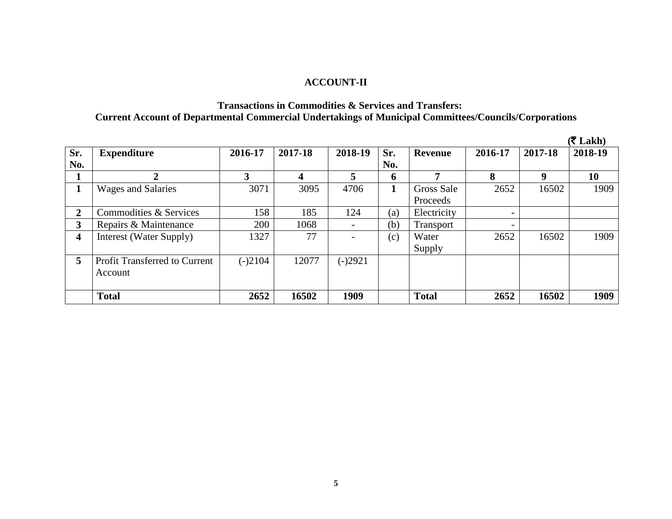### **ACCOUNT-II**

#### **Transactions in Commodities & Services and Transfers: Current Account of Departmental Commercial Undertakings of Municipal Committees/Councils/Corporations**

|                |                                      |           |         |           |     |              |                          |          | $(5$ Lakh) |
|----------------|--------------------------------------|-----------|---------|-----------|-----|--------------|--------------------------|----------|------------|
| Sr.            | <b>Expenditure</b>                   | 2016-17   | 2017-18 | 2018-19   | Sr. | Revenue      | 2016-17                  | 2017-18  | 2018-19    |
| No.            |                                      |           |         |           | No. |              |                          |          |            |
|                | $\overline{2}$                       | 3         | 4       | 5         | 6   | 7            | 8                        | <b>Q</b> | 10         |
| л.             | <b>Wages and Salaries</b>            | 3071      | 3095    | 4706      | 1   | Gross Sale   | 2652                     | 16502    | 1909       |
|                |                                      |           |         |           |     | Proceeds     |                          |          |            |
| $\overline{2}$ | Commodities & Services               | 158       | 185     | 124       | (a) | Electricity  | $\overline{\phantom{0}}$ |          |            |
| 3              | Repairs & Maintenance                | 200       | 1068    | -         | (b) | Transport    | $\overline{\phantom{0}}$ |          |            |
| 4              | Interest (Water Supply)              | 1327      | 77      | -         | (c) | Water        | 2652                     | 16502    | 1909       |
|                |                                      |           |         |           |     | Supply       |                          |          |            |
| 5              | <b>Profit Transferred to Current</b> | $(-)2104$ | 12077   | $(-)2921$ |     |              |                          |          |            |
|                | Account                              |           |         |           |     |              |                          |          |            |
|                |                                      |           |         |           |     |              |                          |          |            |
|                | <b>Total</b>                         | 2652      | 16502   | 1909      |     | <b>Total</b> | 2652                     | 16502    | 1909       |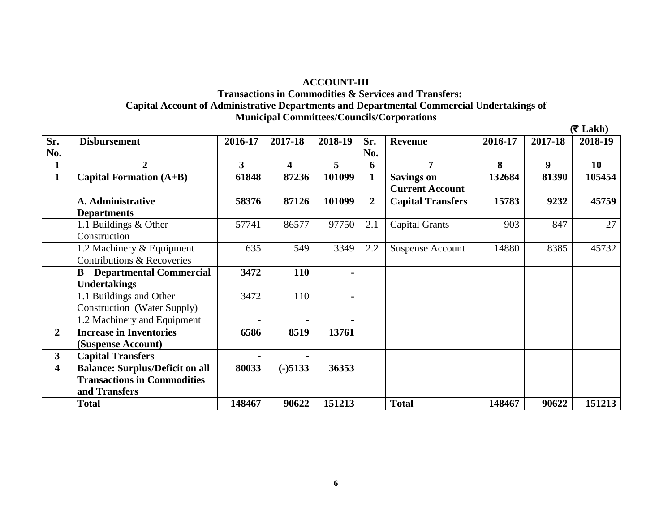#### **ACCOUNT-III**

#### **Transactions in Commodities & Services and Transfers: Capital Account of Administrative Departments and Departmental Commercial Undertakings of Municipal Committees/Councils/Corporations**

 $(\mathbf{\overline{z}} \text{ Lakh})$ **Sr. No. Disbursement 2016-17 2017-18 2018-19 Sr. No. Revenue 2016-17 2017-18 2018-19 1 2 3 4 5 6 7 8 9 10 1 Capital Formation (A+B) 61848 87236 101099 1 Savings on Current Account 132684 81390 105454 A. Administrative Departments 58376 87126 101099 2 Capital Transfers 15783 9232 45759** 1.1 Buildings & Other Construction 57741 86577 97750 2.1 Capital Grants 903 847 27 1.2 Machinery & Equipment Contributions & Recoveries 635 549 3349 2.2 Suspense Account 14880 8385 45732 **B Departmental Commercial Undertakings 3472 110 -** 1.1 Buildings and Other Construction (Water Supply) 3472 110 **-** 1.2 Machinery and Equipment **-2 Increase in Inventories (Suspense Account) 6586 8519 13761 3 Capital Transfers example 1 1 1 1 1 4 Balance: Surplus/Deficit on all Transactions in Commodities and Transfers 80033 (-)5133 36353 Total 148467 90622 151213 Total 148467 90622 151213**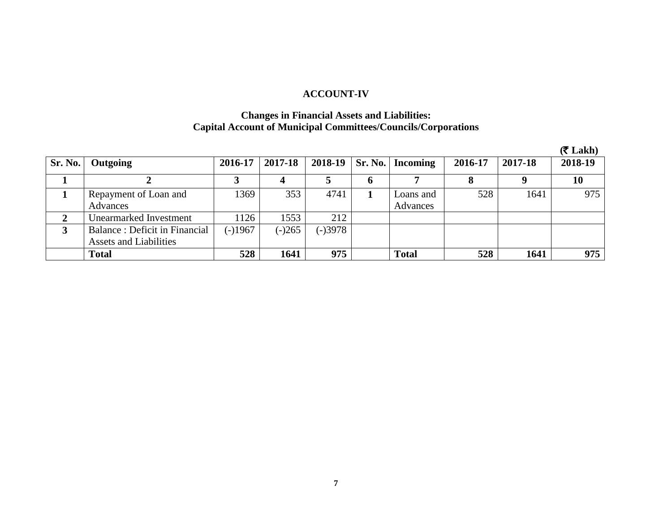### **ACCOUNT-IV**

#### **Changes in Financial Assets and Liabilities: Capital Account of Municipal Committees/Councils/Corporations**

|         |                               |           |          |         |         |                 |         |          | $(5$ Lakh) |
|---------|-------------------------------|-----------|----------|---------|---------|-----------------|---------|----------|------------|
| Sr. No. | Outgoing                      | 2016-17   | 2017-18  | 2018-19 | Sr. No. | <b>Incoming</b> | 2016-17 | 2017-18  | 2018-19    |
|         |                               |           |          |         | o       |                 |         | <b>Q</b> | 10         |
|         | Repayment of Loan and         | 1369      | 353      | 4741    |         | Loans and       | 528     | 1641     | 975        |
|         | Advances                      |           |          |         |         | Advances        |         |          |            |
| 2       | Unearmarked Investment        | 1126      | 1553     | 212     |         |                 |         |          |            |
|         | Balance: Deficit in Financial | $(-)1967$ | $(-)265$ | (-)3978 |         |                 |         |          |            |
|         | <b>Assets and Liabilities</b> |           |          |         |         |                 |         |          |            |
|         | <b>Total</b>                  | 528       | 1641     | 975     |         | <b>Total</b>    | 528     | 1641     | 975        |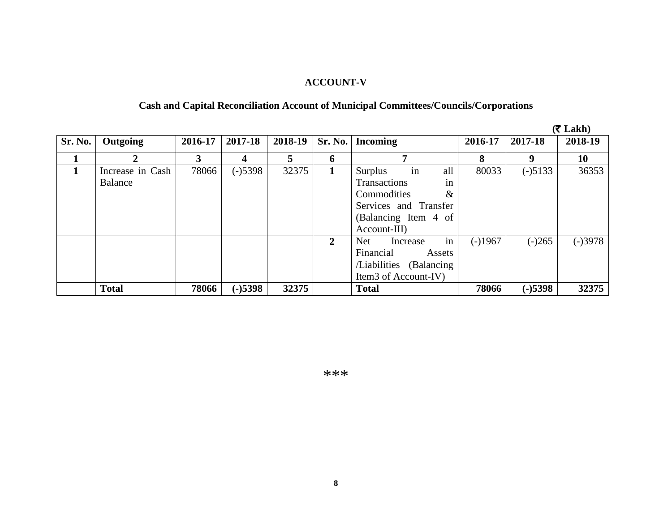# **ACCOUNT-V**

# **Cash and Capital Reconciliation Account of Municipal Committees/Councils/Corporations**

|         |                             |         |           |         |                |                                                                                                                                           |           |           | $(5$ Lakh) |
|---------|-----------------------------|---------|-----------|---------|----------------|-------------------------------------------------------------------------------------------------------------------------------------------|-----------|-----------|------------|
| Sr. No. | Outgoing                    | 2016-17 | 2017-18   | 2018-19 | <b>Sr. No.</b> | <b>Incoming</b>                                                                                                                           | 2016-17   | 2017-18   | 2018-19    |
|         | 2                           | 3       | 4         | 5       | 6              | ៗ                                                                                                                                         | 8         | -9        | 10         |
|         | Increase in Cash<br>Balance | 78066   | $(-)5398$ | 32375   | 1              | in<br>all<br>Surplus<br><b>Transactions</b><br>in<br>Commodities<br>$\&$<br>Services and Transfer<br>(Balancing Item 4 of<br>Account-III) | 80033     | $(-)5133$ | 36353      |
|         |                             |         |           |         | 2              | in<br>Net<br>Increase<br>Financial<br>Assets<br>/Liabilities<br>(Balancing)<br>Item3 of Account-IV)                                       | $(-)1967$ | $(-)265$  | (-)3978    |
|         | <b>Total</b>                | 78066   | $(-)5398$ | 32375   |                | <b>Total</b>                                                                                                                              | 78066     | $(-)5398$ | 32375      |

\*\*\*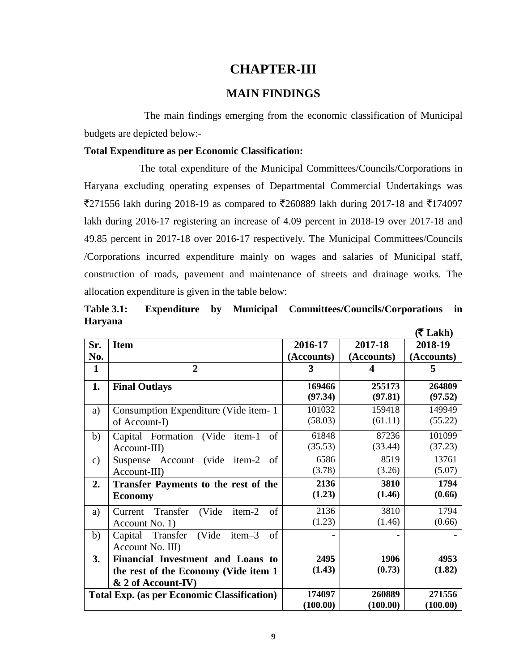### **CHAPTER-III**

#### **MAIN FINDINGS**

The main findings emerging from the economic classification of Municipal budgets are depicted below:-

#### **Total Expenditure as per Economic Classification:**

The total expenditure of the Municipal Committees/Councils/Corporations in Haryana excluding operating expenses of Departmental Commercial Undertakings was  $\overline{5}271556$  lakh during 2018-19 as compared to  $\overline{5}260889$  lakh during 2017-18 and  $\overline{5}174097$ lakh during 2016-17 registering an increase of 4.09 percent in 2018-19 over 2017-18 and 49.85 percent in 2017-18 over 2016-17 respectively. The Municipal Committees/Councils /Corporations incurred expenditure mainly on wages and salaries of Municipal staff, construction of roads, pavement and maintenance of streets and drainage works. The allocation expenditure is given in the table below:

**Table 3.1: Expenditure by Municipal Committees/Councils/Corporations in Haryana**

|               |                                                                                                  |                    |                    | $(5$ Lakh)         |
|---------------|--------------------------------------------------------------------------------------------------|--------------------|--------------------|--------------------|
| Sr.           | <b>Item</b>                                                                                      | 2016-17            | 2017-18            | 2018-19            |
| No.           |                                                                                                  | (Accounts)         | (Accounts)         | (Accounts)         |
| 1             | $\overline{2}$                                                                                   | 3                  | 4                  | 5                  |
| 1.            | <b>Final Outlays</b>                                                                             | 169466<br>(97.34)  | 255173<br>(97.81)  | 264809<br>(97.52)  |
| a)            | Consumption Expenditure (Vide item-1)<br>of Account-I)                                           | 101032<br>(58.03)  | 159418<br>(61.11)  | 149949<br>(55.22)  |
| b)            | of<br>Capital Formation (Vide item-1)<br>Account-III)                                            | 61848<br>(35.53)   | 87236<br>(33.44)   | 101099<br>(37.23)  |
| $\mathbf{c})$ | Suspense Account (vide item-2<br>of<br>Account-III)                                              | 6586<br>(3.78)     | 8519<br>(3.26)     | 13761<br>(5.07)    |
| 2.            | <b>Transfer Payments to the rest of the</b><br><b>Economy</b>                                    | 2136<br>(1.23)     | 3810<br>(1.46)     | 1794<br>(0.66)     |
| a)            | of<br>Current Transfer<br>(Vide<br>item-2<br>Account No. 1)                                      | 2136<br>(1.23)     | 3810<br>(1.46)     | 1794<br>(0.66)     |
| b)            | of<br>Capital Transfer (Vide<br>$item-3$<br>Account No. III)                                     |                    |                    |                    |
| 3.            | Financial Investment and Loans to<br>the rest of the Economy (Vide item 1)<br>& 2 of Account-IV) | 2495<br>(1.43)     | 1906<br>(0.73)     | 4953<br>(1.82)     |
|               | <b>Total Exp. (as per Economic Classification)</b>                                               | 174097<br>(100.00) | 260889<br>(100.00) | 271556<br>(100.00) |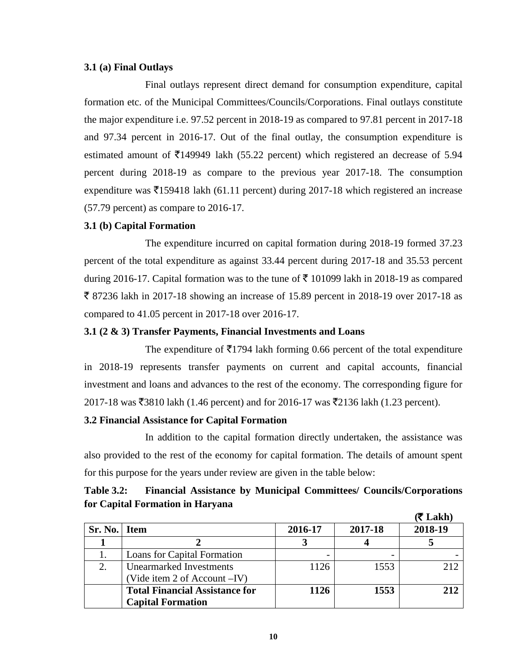#### **3.1 (a) Final Outlays**

Final outlays represent direct demand for consumption expenditure, capital formation etc. of the Municipal Committees/Councils/Corporations. Final outlays constitute the major expenditure i.e. 97.52 percent in 2018-19 as compared to 97.81 percent in 2017-18 and 97.34 percent in 2016-17. Out of the final outlay, the consumption expenditure is estimated amount of  $\bar{\xi}$ 149949 lakh (55.22 percent) which registered an decrease of 5.94 percent during 2018-19 as compare to the previous year 2017-18. The consumption expenditure was  $\overline{5}159418$  lakh (61.11 percent) during 2017-18 which registered an increase (57.79 percent) as compare to 2016-17.

#### **3.1 (b) Capital Formation**

The expenditure incurred on capital formation during 2018-19 formed 37.23 percent of the total expenditure as against 33.44 percent during 2017-18 and 35.53 percent during 2016-17. Capital formation was to the tune of  $\bar{\tau}$  101099 lakh in 2018-19 as compared ₹ 87236 lakh in 2017-18 showing an increase of 15.89 percent in 2018-19 over 2017-18 as compared to 41.05 percent in 2017-18 over 2016-17.

#### **3.1 (2 & 3) Transfer Payments, Financial Investments and Loans**

The expenditure of  $\bar{\bar{\mathcal{L}}}$  1794 lakh forming 0.66 percent of the total expenditure in 2018-19 represents transfer payments on current and capital accounts, financial investment and loans and advances to the rest of the economy. The corresponding figure for  $2017-18$  was ₹3810 lakh (1.46 percent) and for 2016-17 was ₹2136 lakh (1.23 percent).

#### **3.2 Financial Assistance for Capital Formation**

In addition to the capital formation directly undertaken, the assistance was also provided to the rest of the economy for capital formation. The details of amount spent for this purpose for the years under review are given in the table below:

| <b>Table 3.2:</b>                |  |  | <b>Financial Assistance by Municipal Committees/ Councils/Corporations</b> |
|----------------------------------|--|--|----------------------------------------------------------------------------|
| for Capital Formation in Haryana |  |  |                                                                            |
|                                  |  |  | $\sqrt{2}$ t $\sqrt{11}$                                                   |

|         |                                                                   |         |         | (₹ Lakh) |
|---------|-------------------------------------------------------------------|---------|---------|----------|
| Sr. No. | <b>Item</b>                                                       | 2016-17 | 2017-18 | 2018-19  |
|         |                                                                   |         |         |          |
|         | Loans for Capital Formation                                       |         |         |          |
| 2.      | <b>Unearmarked Investments</b><br>(Vide item 2 of Account – IV)   | 1126    | 1553    | 212      |
|         | <b>Total Financial Assistance for</b><br><b>Capital Formation</b> | 1126    | 1553    | 212      |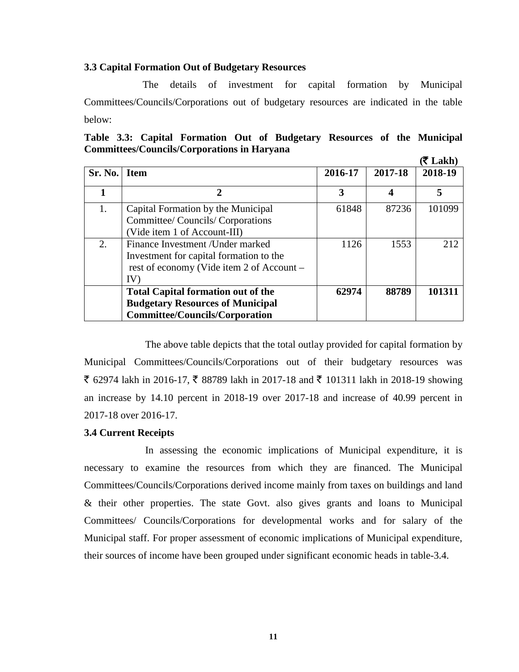#### **3.3 Capital Formation Out of Budgetary Resources**

 The details of investment for capital formation by Municipal Committees/Councils/Corporations out of budgetary resources are indicated in the table below:

|  | Table 3.3: Capital Formation Out of Budgetary Resources of the Municipal |  |  |  |               |
|--|--------------------------------------------------------------------------|--|--|--|---------------|
|  | <b>Committees/Councils/Corporations in Haryana</b>                       |  |  |  |               |
|  |                                                                          |  |  |  | $(25)$ T okh) |

|                  |                                                                                                                                  |         |         | A Lanii |
|------------------|----------------------------------------------------------------------------------------------------------------------------------|---------|---------|---------|
| Sr. No.          | <b>Item</b>                                                                                                                      | 2016-17 | 2017-18 | 2018-19 |
|                  | $\mathbf 2$                                                                                                                      | 3       | 4       | 5       |
| 1.               | Capital Formation by the Municipal<br>Committee/ Councils/ Corporations<br>(Vide item 1 of Account-III)                          | 61848   | 87236   | 101099  |
| $\overline{2}$ . | Finance Investment / Under marked<br>Investment for capital formation to the<br>rest of economy (Vide item 2 of Account –<br>IV) | 1126    | 1553    | 212     |
|                  | <b>Total Capital formation out of the</b><br><b>Budgetary Resources of Municipal</b><br><b>Committee/Councils/Corporation</b>    | 62974   | 88789   | 101311  |

The above table depicts that the total outlay provided for capital formation by Municipal Committees/Councils/Corporations out of their budgetary resources was ₹ 62974 lakh in 2016-17, ₹ 88789 lakh in 2017-18 and ₹ 101311 lakh in 2018-19 showing an increase by 14.10 percent in 2018-19 over 2017-18 and increase of 40.99 percent in 2017-18 over 2016-17.

#### **3.4 Current Receipts**

In assessing the economic implications of Municipal expenditure, it is necessary to examine the resources from which they are financed. The Municipal Committees/Councils/Corporations derived income mainly from taxes on buildings and land & their other properties. The state Govt. also gives grants and loans to Municipal Committees/ Councils/Corporations for developmental works and for salary of the Municipal staff. For proper assessment of economic implications of Municipal expenditure, their sources of income have been grouped under significant economic heads in table-3.4.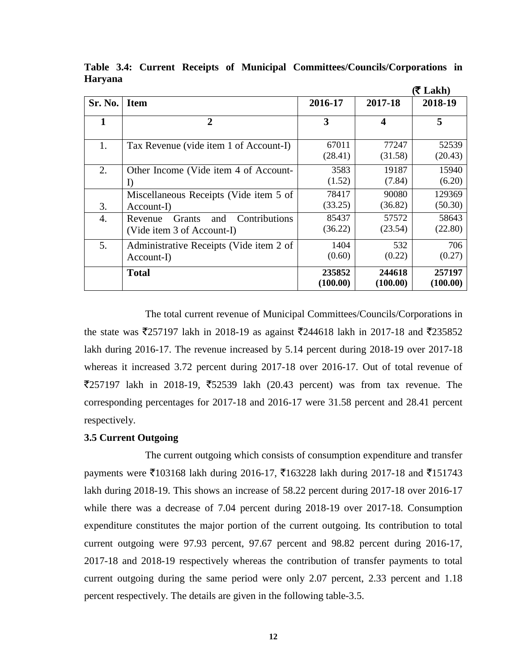|         |                                                                                |                    |                         | $(5$ Lakh)         |
|---------|--------------------------------------------------------------------------------|--------------------|-------------------------|--------------------|
| Sr. No. | <b>Item</b>                                                                    | 2016-17            | 2017-18                 | 2018-19            |
|         | $\overline{2}$                                                                 | 3                  | $\overline{\mathbf{4}}$ | 5                  |
| 1.      | Tax Revenue (vide item 1 of Account-I)                                         | 67011<br>(28.41)   | 77247<br>(31.58)        | 52539<br>(20.43)   |
| 2.      | Other Income (Vide item 4 of Account-<br>$\bf{l}$                              | 3583<br>(1.52)     | 19187<br>(7.84)         | 15940<br>(6.20)    |
| 3.      | Miscellaneous Receipts (Vide item 5 of<br>$Account-I)$                         | 78417<br>(33.25)   | 90080<br>(36.82)        | 129369<br>(50.30)  |
| 4.      | Contributions<br>Revenue<br><b>Grants</b><br>and<br>(Vide item 3 of Account-I) | 85437<br>(36.22)   | 57572<br>(23.54)        | 58643<br>(22.80)   |
| 5.      | Administrative Receipts (Vide item 2 of<br>$Account-I)$                        | 1404<br>(0.60)     | 532<br>(0.22)           | 706<br>(0.27)      |
|         | <b>Total</b>                                                                   | 235852<br>(100.00) | 244618<br>(100.00)      | 257197<br>(100.00) |

**Table 3.4: Current Receipts of Municipal Committees/Councils/Corporations in Haryana**

The total current revenue of Municipal Committees/Councils/Corporations in the state was  $\overline{2}$ 57197 lakh in 2018-19 as against  $\overline{2}$ 244618 lakh in 2017-18 and  $\overline{2}$ 35852 lakh during 2016-17. The revenue increased by 5.14 percent during 2018-19 over 2017-18 whereas it increased 3.72 percent during 2017-18 over 2016-17. Out of total revenue of  $\overline{5}257197$  lakh in 2018-19,  $\overline{5}2539$  lakh (20.43 percent) was from tax revenue. The corresponding percentages for 2017-18 and 2016-17 were 31.58 percent and 28.41 percent respectively.

#### **3.5 Current Outgoing**

The current outgoing which consists of consumption expenditure and transfer payments were  $\bar{\xi}$ 103168 lakh during 2016-17,  $\bar{\xi}$ 163228 lakh during 2017-18 and  $\bar{\xi}$ 151743 lakh during 2018-19. This shows an increase of 58.22 percent during 2017-18 over 2016-17 while there was a decrease of 7.04 percent during 2018-19 over 2017-18. Consumption expenditure constitutes the major portion of the current outgoing. Its contribution to total current outgoing were 97.93 percent, 97.67 percent and 98.82 percent during 2016-17, 2017-18 and 2018-19 respectively whereas the contribution of transfer payments to total current outgoing during the same period were only 2.07 percent, 2.33 percent and 1.18 percent respectively. The details are given in the following table-3.5.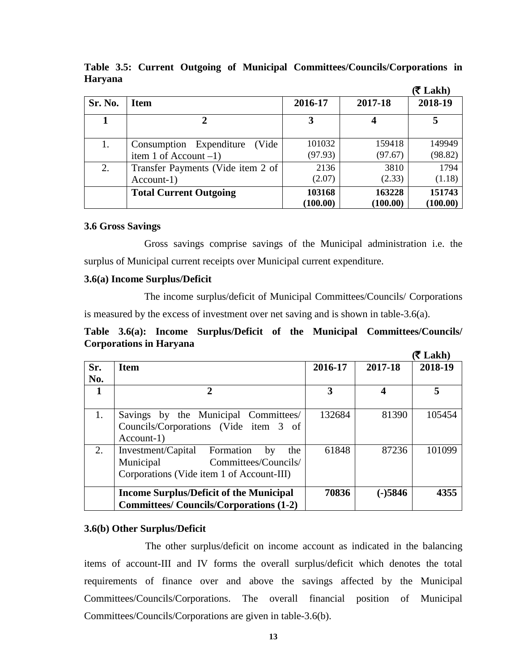|         |                                                              |                    |                    | (₹ Lakh)           |
|---------|--------------------------------------------------------------|--------------------|--------------------|--------------------|
| Sr. No. | <b>Item</b>                                                  | 2016-17            | 2017-18            | 2018-19            |
|         | 2                                                            | 3                  |                    |                    |
| 1.      | Consumption Expenditure<br>(Vide<br>item 1 of Account $-1$ ) | 101032<br>(97.93)  | 159418<br>(97.67)  | 149949<br>(98.82)  |
| 2.      | Transfer Payments (Vide item 2 of<br>$Account-1)$            | 2136<br>(2.07)     | 3810<br>(2.33)     | 1794<br>(1.18)     |
|         | <b>Total Current Outgoing</b>                                | 103168<br>(100.00) | 163228<br>(100.00) | 151743<br>(100.00) |

**Table 3.5: Current Outgoing of Municipal Committees/Councils/Corporations in Haryana**

#### **3.6 Gross Savings**

Gross savings comprise savings of the Municipal administration i.e. the surplus of Municipal current receipts over Municipal current expenditure.

#### **3.6(a) Income Surplus/Deficit**

The income surplus/deficit of Municipal Committees/Councils/ Corporations is measured by the excess of investment over net saving and is shown in table-3.6(a).

|  |                                |  |  | Table 3.6(a): Income Surplus/Deficit of the Municipal Committees/Councils/ |
|--|--------------------------------|--|--|----------------------------------------------------------------------------|
|  | <b>Corporations in Haryana</b> |  |  |                                                                            |

| . .         |  |
|-------------|--|
| κ<br>u<br>п |  |

|            |                                                                                                                                |         |           | (₹ Lakh) |
|------------|--------------------------------------------------------------------------------------------------------------------------------|---------|-----------|----------|
| Sr.<br>No. | <b>Item</b>                                                                                                                    | 2016-17 | 2017-18   | 2018-19  |
|            | $\mathbf{2}$                                                                                                                   | 3       | 4         | 5        |
| 1.         | Savings by the Municipal Committees/<br>Councils/Corporations (Vide item 3 of<br>$Account-1)$                                  | 132684  | 81390     | 105454   |
| 2.         | Investment/Capital<br>Formation<br>by<br>the<br>Committees/Councils/<br>Municipal<br>Corporations (Vide item 1 of Account-III) | 61848   | 87236     | 101099   |
|            | <b>Income Surplus/Deficit of the Municipal</b><br><b>Committees/Councils/Corporations (1-2)</b>                                | 70836   | $(-)5846$ | 4355     |

#### **3.6(b) Other Surplus/Deficit**

The other surplus/deficit on income account as indicated in the balancing items of account-III and IV forms the overall surplus/deficit which denotes the total requirements of finance over and above the savings affected by the Municipal Committees/Councils/Corporations. The overall financial position of Municipal Committees/Councils/Corporations are given in table-3.6(b).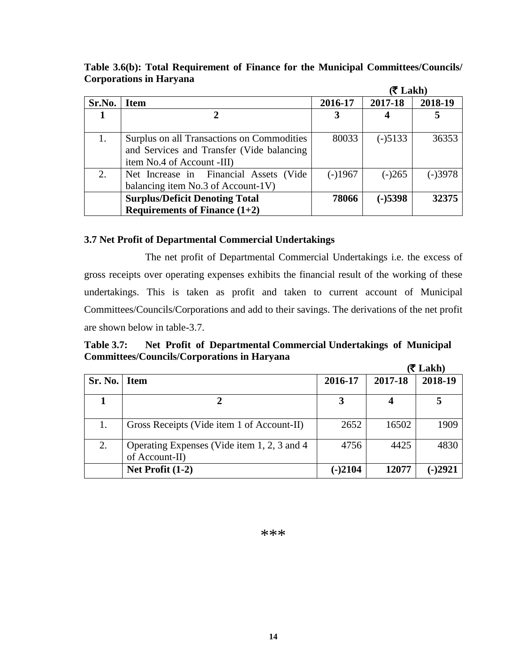**Table 3.6(b): Total Requirement of Finance for the Municipal Committees/Councils/ Corporations in Haryana** 

|        |                                                                                                                        |           | (₹ Lakh)  |           |
|--------|------------------------------------------------------------------------------------------------------------------------|-----------|-----------|-----------|
| Sr.No. | <b>Item</b>                                                                                                            | 2016-17   | 2017-18   | 2018-19   |
|        | 2                                                                                                                      | 3         |           |           |
|        | Surplus on all Transactions on Commodities<br>and Services and Transfer (Vide balancing)<br>item No.4 of Account -III) | 80033     | $(-)5133$ | 36353     |
|        | Net Increase in Financial Assets (Vide<br>balancing item No.3 of Account-1V)                                           | $(-)1967$ | $(-)265$  | $(-)3978$ |
|        | <b>Surplus/Deficit Denoting Total</b><br>Requirements of Finance $(1+2)$                                               | 78066     | $(-)5398$ | 32375     |

#### **3.7 Net Profit of Departmental Commercial Undertakings**

The net profit of Departmental Commercial Undertakings i.e. the excess of gross receipts over operating expenses exhibits the financial result of the working of these undertakings. This is taken as profit and taken to current account of Municipal Committees/Councils/Corporations and add to their savings. The derivations of the net profit are shown below in table-3.7.

**Table 3.7: Net Profit of Departmental Commercial Undertakings of Municipal Committees/Councils/Corporations in Haryana**

|         |                                                               |           |         | (₹ Lakh) |
|---------|---------------------------------------------------------------|-----------|---------|----------|
| Sr. No. | <b>Item</b>                                                   | 2016-17   | 2017-18 | 2018-19  |
|         |                                                               | 3         | 4       |          |
| 1.      | Gross Receipts (Vide item 1 of Account-II)                    | 2652      | 16502   | 1909     |
| 2.      | Operating Expenses (Vide item 1, 2, 3 and 4<br>of Account-II) | 4756      | 4425    | 4830     |
|         | Net Profit $(1-2)$                                            | $(-)2104$ | 12077   | $-2921$  |

#### \*\*\*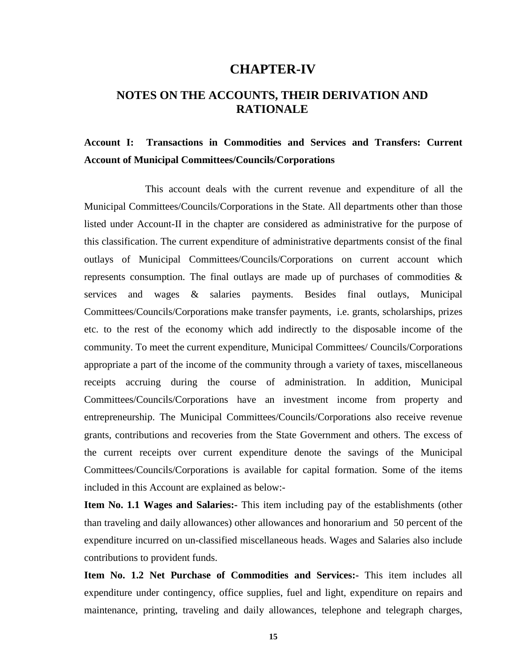### **CHAPTER-IV**

### **NOTES ON THE ACCOUNTS, THEIR DERIVATION AND RATIONALE**

### **Account I: Transactions in Commodities and Services and Transfers: Current Account of Municipal Committees/Councils/Corporations**

This account deals with the current revenue and expenditure of all the Municipal Committees/Councils/Corporations in the State. All departments other than those listed under Account-II in the chapter are considered as administrative for the purpose of this classification. The current expenditure of administrative departments consist of the final outlays of Municipal Committees/Councils/Corporations on current account which represents consumption. The final outlays are made up of purchases of commodities  $\&$ services and wages & salaries payments. Besides final outlays, Municipal Committees/Councils/Corporations make transfer payments, i.e. grants, scholarships, prizes etc. to the rest of the economy which add indirectly to the disposable income of the community. To meet the current expenditure, Municipal Committees/ Councils/Corporations appropriate a part of the income of the community through a variety of taxes, miscellaneous receipts accruing during the course of administration. In addition, Municipal Committees/Councils/Corporations have an investment income from property and entrepreneurship. The Municipal Committees/Councils/Corporations also receive revenue grants, contributions and recoveries from the State Government and others. The excess of the current receipts over current expenditure denote the savings of the Municipal Committees/Councils/Corporations is available for capital formation. Some of the items included in this Account are explained as below:-

**Item No. 1.1 Wages and Salaries:-** This item including pay of the establishments (other than traveling and daily allowances) other allowances and honorarium and 50 percent of the expenditure incurred on un-classified miscellaneous heads. Wages and Salaries also include contributions to provident funds.

**Item No. 1.2 Net Purchase of Commodities and Services:-** This item includes all expenditure under contingency, office supplies, fuel and light, expenditure on repairs and maintenance, printing, traveling and daily allowances, telephone and telegraph charges,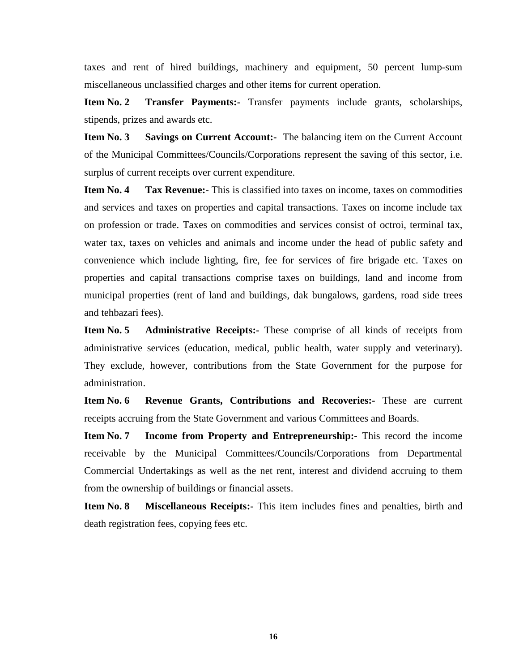taxes and rent of hired buildings, machinery and equipment, 50 percent lump-sum miscellaneous unclassified charges and other items for current operation.

**Item No. 2 Transfer Payments:-** Transfer payments include grants, scholarships, stipends, prizes and awards etc.

**Item No. 3** Savings on Current Account: The balancing item on the Current Account of the Municipal Committees/Councils/Corporations represent the saving of this sector, i.e. surplus of current receipts over current expenditure.

**Item No. 4 Tax Revenue:** This is classified into taxes on income, taxes on commodities and services and taxes on properties and capital transactions. Taxes on income include tax on profession or trade. Taxes on commodities and services consist of octroi, terminal tax, water tax, taxes on vehicles and animals and income under the head of public safety and convenience which include lighting, fire, fee for services of fire brigade etc. Taxes on properties and capital transactions comprise taxes on buildings, land and income from municipal properties (rent of land and buildings, dak bungalows, gardens, road side trees and tehbazari fees).

**Item No. 5 Administrative Receipts:** These comprise of all kinds of receipts from administrative services (education, medical, public health, water supply and veterinary). They exclude, however, contributions from the State Government for the purpose for administration.

**Item No. 6 Revenue Grants, Contributions and Recoveries:-** These are current receipts accruing from the State Government and various Committees and Boards.

**Item No. 7** Income from Property and Entrepreneurship:- This record the income receivable by the Municipal Committees/Councils/Corporations from Departmental Commercial Undertakings as well as the net rent, interest and dividend accruing to them from the ownership of buildings or financial assets.

**Item No. 8 Miscellaneous Receipts:-** This item includes fines and penalties, birth and death registration fees, copying fees etc.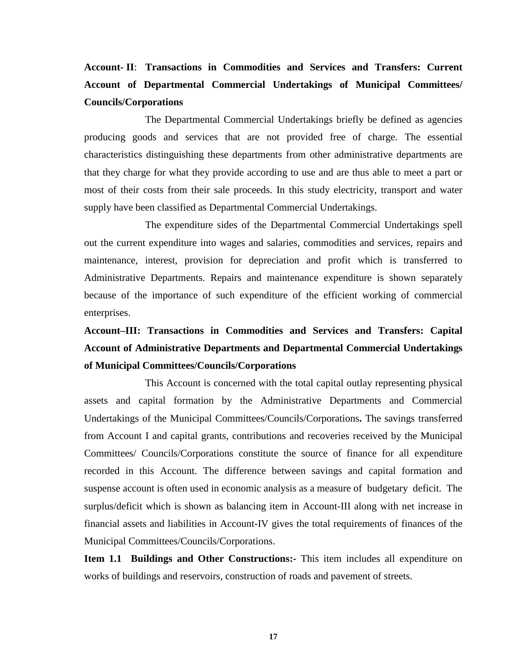# **Account- II**: **Transactions in Commodities and Services and Transfers: Current Account of Departmental Commercial Undertakings of Municipal Committees/ Councils/Corporations**

The Departmental Commercial Undertakings briefly be defined as agencies producing goods and services that are not provided free of charge. The essential characteristics distinguishing these departments from other administrative departments are that they charge for what they provide according to use and are thus able to meet a part or most of their costs from their sale proceeds. In this study electricity, transport and water supply have been classified as Departmental Commercial Undertakings.

The expenditure sides of the Departmental Commercial Undertakings spell out the current expenditure into wages and salaries, commodities and services, repairs and maintenance, interest, provision for depreciation and profit which is transferred to Administrative Departments. Repairs and maintenance expenditure is shown separately because of the importance of such expenditure of the efficient working of commercial enterprises.

# **Account–III: Transactions in Commodities and Services and Transfers: Capital Account of Administrative Departments and Departmental Commercial Undertakings of Municipal Committees/Councils/Corporations**

This Account is concerned with the total capital outlay representing physical assets and capital formation by the Administrative Departments and Commercial Undertakings of the Municipal Committees/Councils/Corporations**.** The savings transferred from Account I and capital grants, contributions and recoveries received by the Municipal Committees/ Councils/Corporations constitute the source of finance for all expenditure recorded in this Account. The difference between savings and capital formation and suspense account is often used in economic analysis as a measure of budgetary deficit. The surplus/deficit which is shown as balancing item in Account-III along with net increase in financial assets and liabilities in Account-IV gives the total requirements of finances of the Municipal Committees/Councils/Corporations.

**Item 1.1 Buildings and Other Constructions:-** This item includes all expenditure on works of buildings and reservoirs, construction of roads and pavement of streets.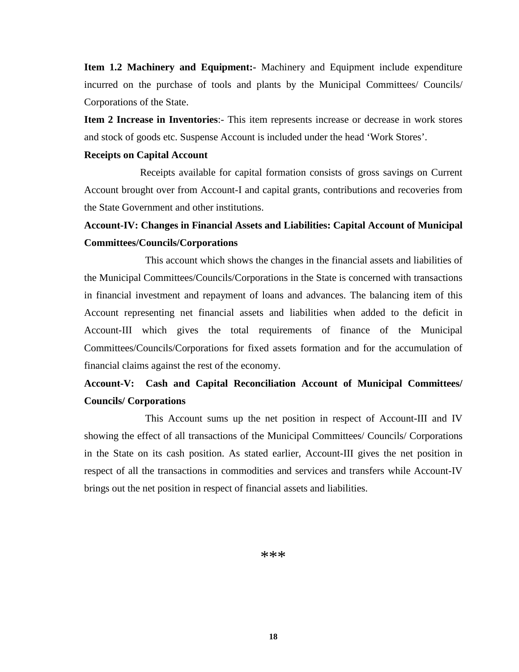**Item 1.2 Machinery and Equipment:-** Machinery and Equipment include expenditure incurred on the purchase of tools and plants by the Municipal Committees/ Councils/ Corporations of the State.

**Item 2 Increase in Inventories**:- This item represents increase or decrease in work stores and stock of goods etc. Suspense Account is included under the head 'Work Stores'.

#### **Receipts on Capital Account**

 Receipts available for capital formation consists of gross savings on Current Account brought over from Account-I and capital grants, contributions and recoveries from the State Government and other institutions.

# **Account-IV: Changes in Financial Assets and Liabilities: Capital Account of Municipal Committees/Councils/Corporations**

 This account which shows the changes in the financial assets and liabilities of the Municipal Committees/Councils/Corporations in the State is concerned with transactions in financial investment and repayment of loans and advances. The balancing item of this Account representing net financial assets and liabilities when added to the deficit in Account-III which gives the total requirements of finance of the Municipal Committees/Councils/Corporations for fixed assets formation and for the accumulation of financial claims against the rest of the economy.

### **Account-V: Cash and Capital Reconciliation Account of Municipal Committees/ Councils/ Corporations**

This Account sums up the net position in respect of Account-III and IV showing the effect of all transactions of the Municipal Committees/ Councils/ Corporations in the State on its cash position. As stated earlier, Account-III gives the net position in respect of all the transactions in commodities and services and transfers while Account-IV brings out the net position in respect of financial assets and liabilities.

\*\*\*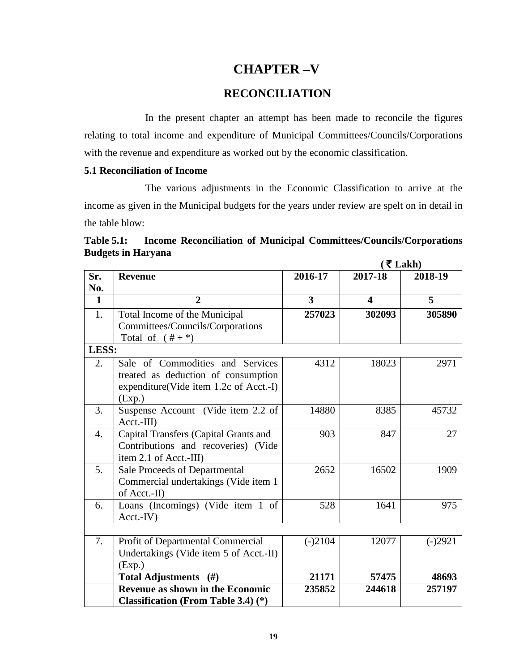### **CHAPTER –V**

#### **RECONCILIATION**

In the present chapter an attempt has been made to reconcile the figures relating to total income and expenditure of Municipal Committees/Councils/Corporations with the revenue and expenditure as worked out by the economic classification.

#### **5.1 Reconciliation of Income**

The various adjustments in the Economic Classification to arrive at the income as given in the Municipal budgets for the years under review are spelt on in detail in the table blow:

|                  |                                            |           | (₹Lakh)                 |           |
|------------------|--------------------------------------------|-----------|-------------------------|-----------|
| Sr.              | <b>Revenue</b>                             | 2016-17   | 2017-18                 | 2018-19   |
| No.              |                                            |           |                         |           |
| $\mathbf{1}$     | $\overline{2}$                             | 3         | $\overline{\mathbf{4}}$ | 5         |
| 1.               | Total Income of the Municipal              | 257023    | 302093                  | 305890    |
|                  | Committees/Councils/Corporations           |           |                         |           |
|                  | Total of $(\# +*)$                         |           |                         |           |
| LESS:            |                                            |           |                         |           |
| 2.               | Sale of Commodities and Services           | 4312      | 18023                   | 2971      |
|                  | treated as deduction of consumption        |           |                         |           |
|                  | expenditure(Vide item 1.2c of Acct.-I)     |           |                         |           |
|                  | (Exp.)                                     |           |                         |           |
| 3.               | Suspense Account (Vide item 2.2 of         | 14880     | 8385                    | 45732     |
|                  | $Acct.-III)$                               |           |                         |           |
| $\overline{4}$ . | Capital Transfers (Capital Grants and      | 903       | 847                     | 27        |
|                  | Contributions and recoveries) (Vide        |           |                         |           |
|                  | item 2.1 of Acct.-III)                     |           |                         |           |
| 5.               | Sale Proceeds of Departmental              | 2652      | 16502                   | 1909      |
|                  | Commercial undertakings (Vide item 1       |           |                         |           |
|                  | of Acct.-II)                               |           |                         |           |
| 6.               | Loans (Incomings) (Vide item 1 of          | 528       | 1641                    | 975       |
|                  | $Acct.-IV)$                                |           |                         |           |
|                  |                                            |           |                         |           |
| 7.               | Profit of Departmental Commercial          | $(-)2104$ | 12077                   | $(-)2921$ |
|                  | Undertakings (Vide item 5 of Acct.-II)     |           |                         |           |
|                  | (Exp.)                                     |           |                         |           |
|                  | Total Adjustments (#)                      | 21171     | 57475                   | 48693     |
|                  | <b>Revenue as shown in the Economic</b>    | 235852    | 244618                  | 257197    |
|                  | <b>Classification (From Table 3.4) (*)</b> |           |                         |           |

**Table 5.1: Income Reconciliation of Municipal Committees/Councils/Corporations Budgets in Haryana**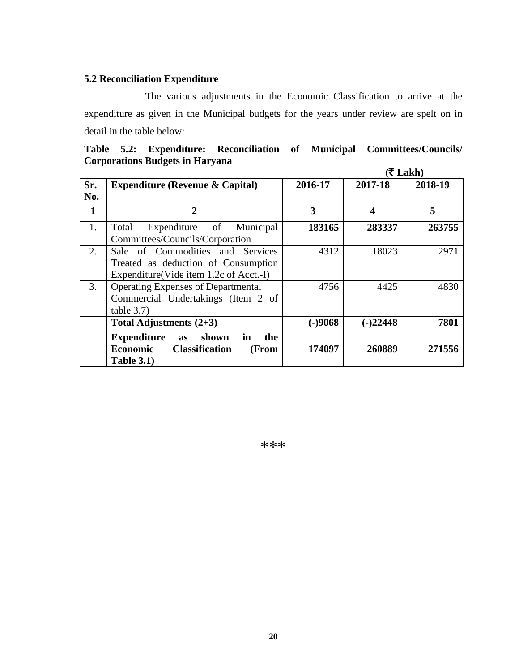### **5.2 Reconciliation Expenditure**

The various adjustments in the Economic Classification to arrive at the expenditure as given in the Municipal budgets for the years under review are spelt on in detail in the table below:

|  |                                        |  | Table 5.2: Expenditure: Reconciliation of Municipal Committees/Councils/ |
|--|----------------------------------------|--|--------------------------------------------------------------------------|
|  | <b>Corporations Budgets in Haryana</b> |  |                                                                          |

|     |                                                       |           |            | $(5$ Lakh) |
|-----|-------------------------------------------------------|-----------|------------|------------|
| Sr. | <b>Expenditure (Revenue &amp; Capital)</b>            | 2016-17   | 2017-18    | 2018-19    |
| No. |                                                       |           |            |            |
| 1   | $\overline{2}$                                        | 3         | 4          | 5          |
| 1.  | Expenditure of Municipal<br>Total                     | 183165    | 283337     | 263755     |
|     | Committees/Councils/Corporation                       |           |            |            |
| 2.  | Sale of Commodities and Services<br>4312<br>18023     |           |            |            |
|     | Treated as deduction of Consumption                   |           |            |            |
|     | Expenditure(Vide item 1.2c of Acct.-I)                |           |            |            |
| 3.  | <b>Operating Expenses of Departmental</b>             | 4756      | 4425       | 4830       |
|     | Commercial Undertakings (Item 2 of                    |           |            |            |
|     | table 3.7)                                            |           |            |            |
|     | Total Adjustments $(2+3)$                             | $(-)9068$ | $(-)22448$ | 7801       |
|     | in<br><b>Expenditure</b><br>shown<br>the<br><b>as</b> |           |            |            |
|     | <b>Economic</b><br><b>Classification</b><br>(From     | 174097    | 260889     | 271556     |
|     | <b>Table 3.1)</b>                                     |           |            |            |

\*\*\*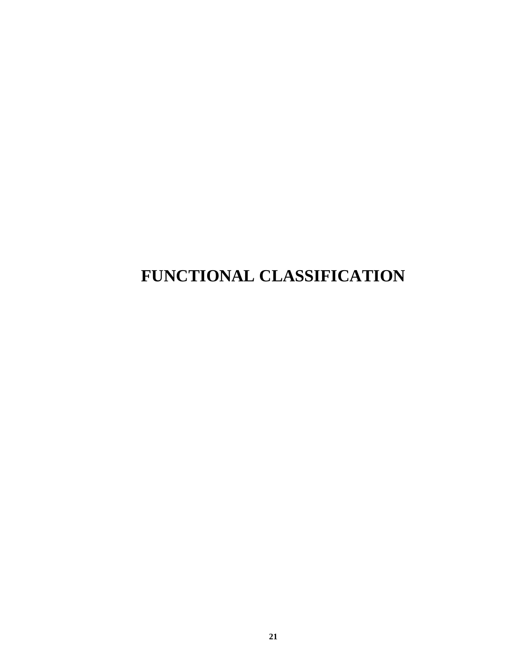# **FUNCTIONAL CLASSIFICATION**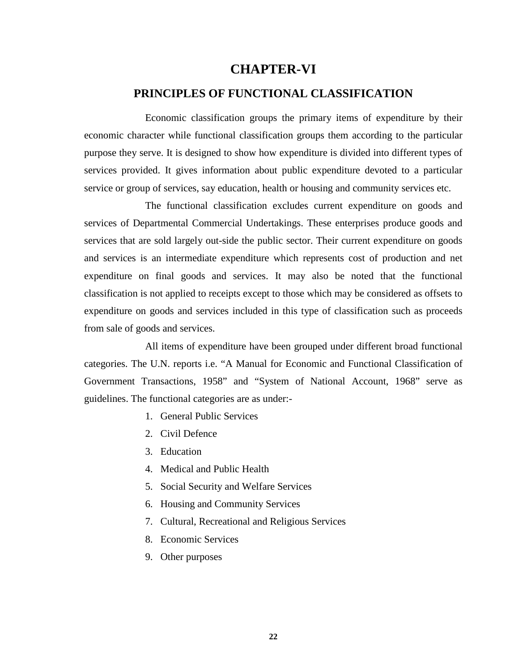### **CHAPTER-VI**

#### **PRINCIPLES OF FUNCTIONAL CLASSIFICATION**

Economic classification groups the primary items of expenditure by their economic character while functional classification groups them according to the particular purpose they serve. It is designed to show how expenditure is divided into different types of services provided. It gives information about public expenditure devoted to a particular service or group of services, say education, health or housing and community services etc.

The functional classification excludes current expenditure on goods and services of Departmental Commercial Undertakings. These enterprises produce goods and services that are sold largely out-side the public sector. Their current expenditure on goods and services is an intermediate expenditure which represents cost of production and net expenditure on final goods and services. It may also be noted that the functional classification is not applied to receipts except to those which may be considered as offsets to expenditure on goods and services included in this type of classification such as proceeds from sale of goods and services.

All items of expenditure have been grouped under different broad functional categories. The U.N. reports i.e. "A Manual for Economic and Functional Classification of Government Transactions, 1958" and "System of National Account, 1968" serve as guidelines. The functional categories are as under:-

- 1. General Public Services
- 2. Civil Defence
- 3. Education
- 4. Medical and Public Health
- 5. Social Security and Welfare Services
- 6. Housing and Community Services
- 7. Cultural, Recreational and Religious Services
- 8. Economic Services
- 9. Other purposes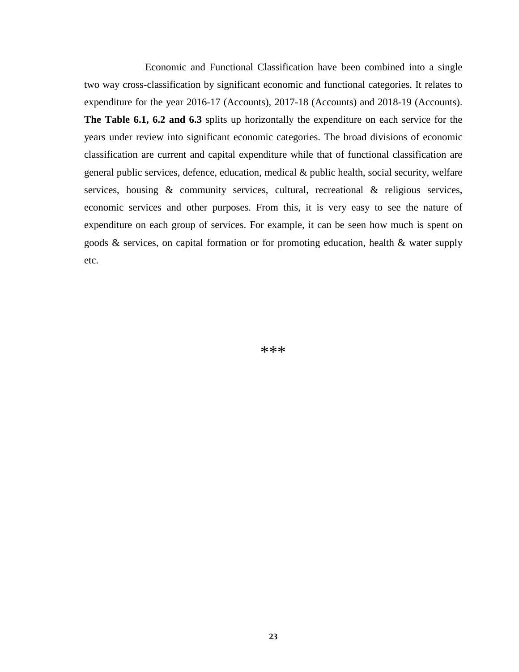Economic and Functional Classification have been combined into a single two way cross-classification by significant economic and functional categories. It relates to expenditure for the year 2016-17 (Accounts), 2017-18 (Accounts) and 2018-19 (Accounts). **The Table 6.1, 6.2 and 6.3** splits up horizontally the expenditure on each service for the years under review into significant economic categories. The broad divisions of economic classification are current and capital expenditure while that of functional classification are general public services, defence, education, medical & public health, social security, welfare services, housing & community services, cultural, recreational & religious services, economic services and other purposes. From this, it is very easy to see the nature of expenditure on each group of services. For example, it can be seen how much is spent on goods & services, on capital formation or for promoting education, health & water supply etc.

\*\*\*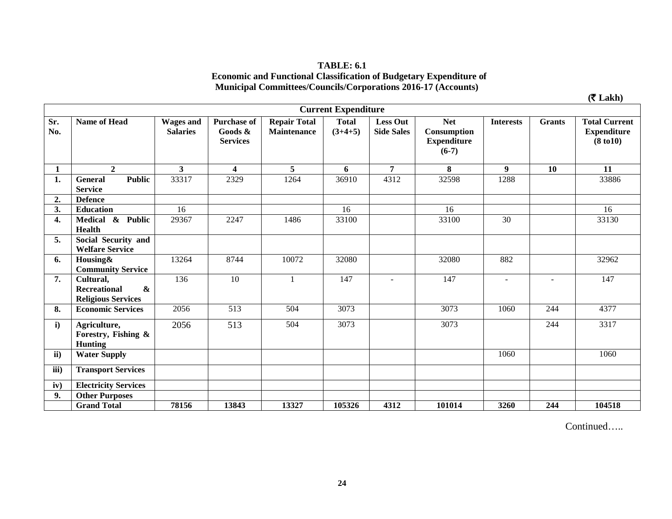#### **TABLE: 6.1 Economic and Functional Classification of Budgetary Expenditure of Municipal Committees/Councils/Corporations 2016-17 (Accounts)**

|               |                                                                                    |                                     |                                                  |                                    |                            |                                      |                                                            |                  |               | $($ ₹ Lakh $)$                                                     |
|---------------|------------------------------------------------------------------------------------|-------------------------------------|--------------------------------------------------|------------------------------------|----------------------------|--------------------------------------|------------------------------------------------------------|------------------|---------------|--------------------------------------------------------------------|
|               |                                                                                    |                                     |                                                  |                                    | <b>Current Expenditure</b> |                                      |                                                            |                  |               |                                                                    |
| Sr.<br>No.    | <b>Name of Head</b>                                                                | <b>Wages and</b><br><b>Salaries</b> | <b>Purchase of</b><br>Goods &<br><b>Services</b> | <b>Repair Total</b><br>Maintenance | <b>Total</b><br>$(3+4+5)$  | <b>Less Out</b><br><b>Side Sales</b> | <b>Net</b><br>Consumption<br><b>Expenditure</b><br>$(6-7)$ | <b>Interests</b> | <b>Grants</b> | <b>Total Current</b><br><b>Expenditure</b><br>$(8 \text{ to } 10)$ |
| 1             | $\overline{2}$                                                                     | $3^{\circ}$                         | $\overline{\mathbf{4}}$                          | 5                                  | 6                          | 7                                    | 8                                                          | 9 <sup>°</sup>   | 10            | 11                                                                 |
| 1.            | <b>Public</b><br><b>General</b><br><b>Service</b>                                  | 33317                               | 2329                                             | 1264                               | 36910                      | 4312                                 | 32598                                                      | 1288             |               | 33886                                                              |
| 2.            | <b>Defence</b>                                                                     |                                     |                                                  |                                    |                            |                                      |                                                            |                  |               |                                                                    |
| 3.            | <b>Education</b>                                                                   | 16                                  |                                                  |                                    | 16                         |                                      | 16                                                         |                  |               | 16                                                                 |
| 4.            | $&$ Public<br><b>Medical</b><br>Health                                             | 29367                               | 2247                                             | 1486                               | 33100                      |                                      | 33100                                                      | $\overline{30}$  |               | 33130                                                              |
| 5.            | Social Security and<br><b>Welfare Service</b>                                      |                                     |                                                  |                                    |                            |                                      |                                                            |                  |               |                                                                    |
| 6.            | Housing&<br><b>Community Service</b>                                               | 13264                               | 8744                                             | 10072                              | 32080                      |                                      | 32080                                                      | 882              |               | 32962                                                              |
| 7.            | Cultural,<br>$\boldsymbol{\&}$<br><b>Recreational</b><br><b>Religious Services</b> | 136                                 | 10                                               |                                    | 147                        |                                      | 147                                                        |                  |               | 147                                                                |
| 8.            | <b>Economic Services</b>                                                           | 2056                                | 513                                              | 504                                | 3073                       |                                      | 3073                                                       | 1060             | 244           | 4377                                                               |
| $\mathbf{i}$  | Agriculture,<br>Forestry, Fishing &<br><b>Hunting</b>                              | 2056                                | 513                                              | 504                                | 3073                       |                                      | 3073                                                       |                  | 244           | 3317                                                               |
| $\mathbf{ii}$ | <b>Water Supply</b>                                                                |                                     |                                                  |                                    |                            |                                      |                                                            | 1060             |               | 1060                                                               |
| iii)          | <b>Transport Services</b>                                                          |                                     |                                                  |                                    |                            |                                      |                                                            |                  |               |                                                                    |
| iv)           | <b>Electricity Services</b>                                                        |                                     |                                                  |                                    |                            |                                      |                                                            |                  |               |                                                                    |
| 9.            | <b>Other Purposes</b>                                                              |                                     |                                                  |                                    |                            |                                      |                                                            |                  |               |                                                                    |
|               | <b>Grand Total</b>                                                                 | 78156                               | 13843                                            | 13327                              | 105326                     | 4312                                 | 101014                                                     | 3260             | 244           | 104518                                                             |

Continued…..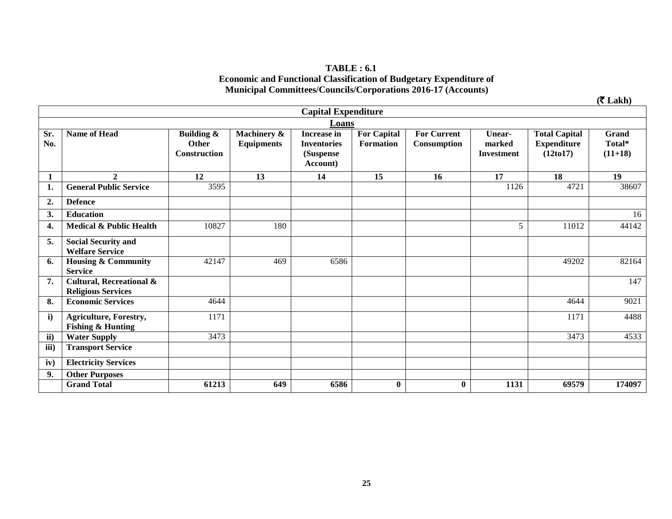#### **TABLE : 6.1 Economic and Functional Classification of Budgetary Expenditure of Municipal Committees/Councils/Corporations 2016-17 (Accounts)**

|                |                                                                  |                                                              |                                  |                                                                   |                                        |                                   |                                       |                                                          | $($ ₹ Lakh $)$               |
|----------------|------------------------------------------------------------------|--------------------------------------------------------------|----------------------------------|-------------------------------------------------------------------|----------------------------------------|-----------------------------------|---------------------------------------|----------------------------------------------------------|------------------------------|
|                |                                                                  |                                                              |                                  | <b>Capital Expenditure</b>                                        |                                        |                                   |                                       |                                                          |                              |
|                |                                                                  |                                                              |                                  | Loans                                                             |                                        |                                   |                                       |                                                          |                              |
| Sr.<br>No.     | <b>Name of Head</b>                                              | <b>Building &amp;</b><br><b>Other</b><br><b>Construction</b> | Machinery &<br><b>Equipments</b> | <b>Increase in</b><br><b>Inventories</b><br>(Suspense<br>Account) | <b>For Capital</b><br><b>Formation</b> | <b>For Current</b><br>Consumption | Unear-<br>marked<br><b>Investment</b> | <b>Total Capital</b><br><b>Expenditure</b><br>(12 to 17) | Grand<br>Total*<br>$(11+18)$ |
|                | $\boldsymbol{2}$                                                 | 12                                                           | 13                               | 14                                                                | 15                                     | 16                                | 17                                    | 18                                                       | 19                           |
| 1.             | <b>General Public Service</b>                                    | 3595                                                         |                                  |                                                                   |                                        |                                   | 1126                                  | 4721                                                     | 38607                        |
| $\overline{2}$ | <b>Defence</b>                                                   |                                                              |                                  |                                                                   |                                        |                                   |                                       |                                                          |                              |
| 3.             | <b>Education</b>                                                 |                                                              |                                  |                                                                   |                                        |                                   |                                       |                                                          | 16                           |
| 4.             | Medical & Public Health                                          | 10827                                                        | 180                              |                                                                   |                                        |                                   | 5                                     | 11012                                                    | 44142                        |
| 5.             | <b>Social Security and</b><br><b>Welfare Service</b>             |                                                              |                                  |                                                                   |                                        |                                   |                                       |                                                          |                              |
| 6.             | <b>Housing &amp; Community</b><br><b>Service</b>                 | 42147                                                        | 469                              | 6586                                                              |                                        |                                   |                                       | 49202                                                    | 82164                        |
| 7.             | <b>Cultural, Recreational &amp;</b><br><b>Religious Services</b> |                                                              |                                  |                                                                   |                                        |                                   |                                       |                                                          | 147                          |
| 8.             | <b>Economic Services</b>                                         | 4644                                                         |                                  |                                                                   |                                        |                                   |                                       | 4644                                                     | 9021                         |
| $\mathbf{i}$   | <b>Agriculture, Forestry,</b><br><b>Fishing &amp; Hunting</b>    | 1171                                                         |                                  |                                                                   |                                        |                                   |                                       | 1171                                                     | 4488                         |
| ii)            | <b>Water Supply</b>                                              | 3473                                                         |                                  |                                                                   |                                        |                                   |                                       | 3473                                                     | 4533                         |
| iii)           | <b>Transport Service</b>                                         |                                                              |                                  |                                                                   |                                        |                                   |                                       |                                                          |                              |
| iv)            | <b>Electricity Services</b>                                      |                                                              |                                  |                                                                   |                                        |                                   |                                       |                                                          |                              |
| 9.             | <b>Other Purposes</b>                                            |                                                              |                                  |                                                                   |                                        |                                   |                                       |                                                          |                              |
|                | <b>Grand Total</b>                                               | 61213                                                        | 649                              | 6586                                                              | $\bf{0}$                               | $\bf{0}$                          | 1131                                  | 69579                                                    | 174097                       |

**25**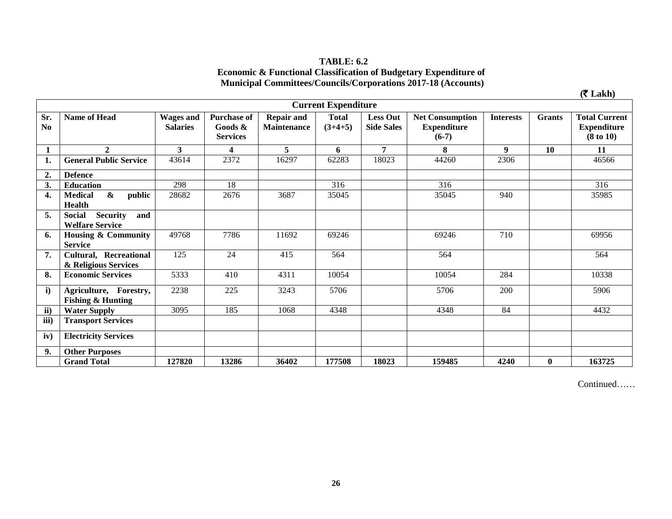| <b>TABLE: 6.2</b>                                                           |
|-----------------------------------------------------------------------------|
| <b>Economic &amp; Functional Classification of Budgetary Expenditure of</b> |
| <b>Municipal Committees/Councils/Corporations 2017-18 (Accounts)</b>        |

|                       |                                                                    |                                     |                                                  |                                         |                            |                                      |                                                         |                  |               | $(5$ Lakh)                                                         |
|-----------------------|--------------------------------------------------------------------|-------------------------------------|--------------------------------------------------|-----------------------------------------|----------------------------|--------------------------------------|---------------------------------------------------------|------------------|---------------|--------------------------------------------------------------------|
|                       |                                                                    |                                     |                                                  |                                         | <b>Current Expenditure</b> |                                      |                                                         |                  |               |                                                                    |
| Sr.<br>N <sub>0</sub> | <b>Name of Head</b>                                                | <b>Wages and</b><br><b>Salaries</b> | <b>Purchase of</b><br>Goods &<br><b>Services</b> | <b>Repair and</b><br><b>Maintenance</b> | <b>Total</b><br>$(3+4+5)$  | <b>Less Out</b><br><b>Side Sales</b> | <b>Net Consumption</b><br><b>Expenditure</b><br>$(6-7)$ | <b>Interests</b> | <b>Grants</b> | <b>Total Current</b><br><b>Expenditure</b><br>$(8 \text{ to } 10)$ |
|                       | $\mathbf{2}$                                                       | 3                                   | $\overline{\mathbf{4}}$                          | 5                                       | 6                          | $\overline{7}$                       | 8                                                       | 9                | 10            | 11                                                                 |
| 1.                    | <b>General Public Service</b>                                      | 43614                               | 2372                                             | 16297                                   | 62283                      | 18023                                | 44260                                                   | 2306             |               | 46566                                                              |
| 2.                    | <b>Defence</b>                                                     |                                     |                                                  |                                         |                            |                                      |                                                         |                  |               |                                                                    |
| 3.                    | <b>Education</b>                                                   | 298                                 | 18                                               |                                         | 316                        |                                      | 316                                                     |                  |               | 316                                                                |
| 4.                    | $\boldsymbol{\alpha}$<br><b>Medical</b><br>public<br><b>Health</b> | 28682                               | 2676                                             | 3687                                    | 35045                      |                                      | 35045                                                   | 940              |               | 35985                                                              |
| 5.                    | <b>Security</b><br><b>Social</b><br>and<br><b>Welfare Service</b>  |                                     |                                                  |                                         |                            |                                      |                                                         |                  |               |                                                                    |
| 6.                    | Housing & Community<br><b>Service</b>                              | 49768                               | 7786                                             | 11692                                   | 69246                      |                                      | 69246                                                   | 710              |               | 69956                                                              |
| 7.                    | Cultural, Recreational<br>& Religious Services                     | 125                                 | 24                                               | 415                                     | 564                        |                                      | 564                                                     |                  |               | 564                                                                |
| 8.                    | <b>Economic Services</b>                                           | 5333                                | 410                                              | 4311                                    | 10054                      |                                      | 10054                                                   | 284              |               | 10338                                                              |
| $\mathbf{i}$          | Agriculture, Forestry,<br><b>Fishing &amp; Hunting</b>             | 2238                                | 225                                              | 3243                                    | 5706                       |                                      | 5706                                                    | 200              |               | 5906                                                               |
| ii)                   | <b>Water Supply</b>                                                | 3095                                | 185                                              | 1068                                    | 4348                       |                                      | 4348                                                    | 84               |               | 4432                                                               |
| iii)                  | <b>Transport Services</b>                                          |                                     |                                                  |                                         |                            |                                      |                                                         |                  |               |                                                                    |
| iv)                   | <b>Electricity Services</b>                                        |                                     |                                                  |                                         |                            |                                      |                                                         |                  |               |                                                                    |
| 9.                    | <b>Other Purposes</b>                                              |                                     |                                                  |                                         |                            |                                      |                                                         |                  |               |                                                                    |
|                       | <b>Grand Total</b>                                                 | 127820                              | 13286                                            | 36402                                   | 177508                     | 18023                                | 159485                                                  | 4240             | $\bf{0}$      | 163725                                                             |

Continued……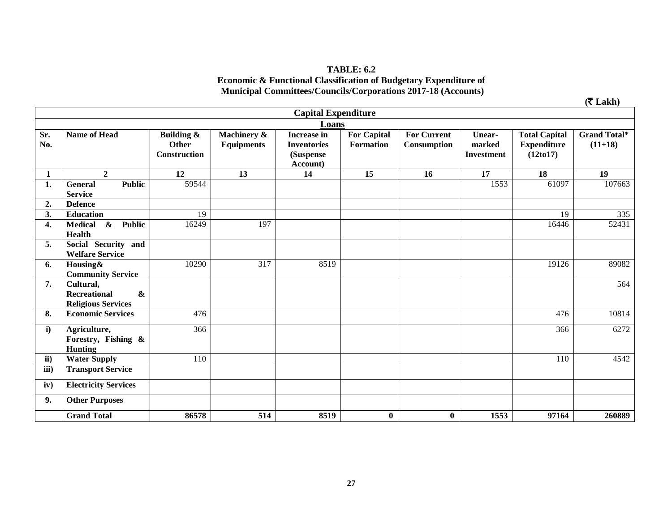#### **TABLE: 6.2 Economic & Functional Classification of Budgetary Expenditure of Municipal Committees/Councils/Corporations 2017-18 (Accounts)**

|              |                                                                                    |                                     |                                  |                                                                   |                                 |                                          |                                       |                                                          | $($ ₹ Lakh $)$                   |
|--------------|------------------------------------------------------------------------------------|-------------------------------------|----------------------------------|-------------------------------------------------------------------|---------------------------------|------------------------------------------|---------------------------------------|----------------------------------------------------------|----------------------------------|
|              |                                                                                    |                                     |                                  | <b>Capital Expenditure</b>                                        |                                 |                                          |                                       |                                                          |                                  |
|              | Loans                                                                              |                                     |                                  |                                                                   |                                 |                                          |                                       |                                                          |                                  |
| Sr.<br>No.   | <b>Name of Head</b>                                                                | Building &<br>Other<br>Construction | Machinery &<br><b>Equipments</b> | <b>Increase in</b><br><b>Inventories</b><br>(Suspense<br>Account) | <b>For Capital</b><br>Formation | <b>For Current</b><br><b>Consumption</b> | Unear-<br>marked<br><b>Investment</b> | <b>Total Capital</b><br><b>Expenditure</b><br>(12 to 17) | <b>Grand Total*</b><br>$(11+18)$ |
| 1            | $\mathbf{2}$                                                                       | 12                                  | 13                               | 14                                                                | 15                              | 16                                       | 17                                    | 18                                                       | 19                               |
| 1.           | <b>Public</b><br><b>General</b><br><b>Service</b>                                  | 59544                               |                                  |                                                                   |                                 |                                          | 1553                                  | 61097                                                    | 107663                           |
| 2.           | <b>Defence</b>                                                                     |                                     |                                  |                                                                   |                                 |                                          |                                       |                                                          |                                  |
| 3.           | <b>Education</b>                                                                   | 19                                  |                                  |                                                                   |                                 |                                          |                                       | 19                                                       | 335                              |
| 4.           | <b>Medical</b><br>$\boldsymbol{\&}$<br><b>Public</b><br><b>Health</b>              | 16249                               | 197                              |                                                                   |                                 |                                          |                                       | 16446                                                    | 52431                            |
| 5.           | Social Security and<br><b>Welfare Service</b>                                      |                                     |                                  |                                                                   |                                 |                                          |                                       |                                                          |                                  |
| 6.           | Housing&<br><b>Community Service</b>                                               | 10290                               | $\overline{317}$                 | 8519                                                              |                                 |                                          |                                       | 19126                                                    | 89082                            |
| 7.           | Cultural,<br>$\boldsymbol{\&}$<br><b>Recreational</b><br><b>Religious Services</b> |                                     |                                  |                                                                   |                                 |                                          |                                       |                                                          | 564                              |
| 8.           | <b>Economic Services</b>                                                           | 476                                 |                                  |                                                                   |                                 |                                          |                                       | 476                                                      | 10814                            |
| $\mathbf{i}$ | Agriculture,<br>Forestry, Fishing &<br><b>Hunting</b>                              | 366                                 |                                  |                                                                   |                                 |                                          |                                       | 366                                                      | 6272                             |
| ii)          | <b>Water Supply</b>                                                                | 110                                 |                                  |                                                                   |                                 |                                          |                                       | 110                                                      | 4542                             |
| iii)         | <b>Transport Service</b>                                                           |                                     |                                  |                                                                   |                                 |                                          |                                       |                                                          |                                  |
| iv)          | <b>Electricity Services</b>                                                        |                                     |                                  |                                                                   |                                 |                                          |                                       |                                                          |                                  |
| 9.           | <b>Other Purposes</b>                                                              |                                     |                                  |                                                                   |                                 |                                          |                                       |                                                          |                                  |
|              | <b>Grand Total</b>                                                                 | 86578                               | 514                              | 8519                                                              | $\bf{0}$                        | $\bf{0}$                                 | 1553                                  | 97164                                                    | 260889                           |

**27**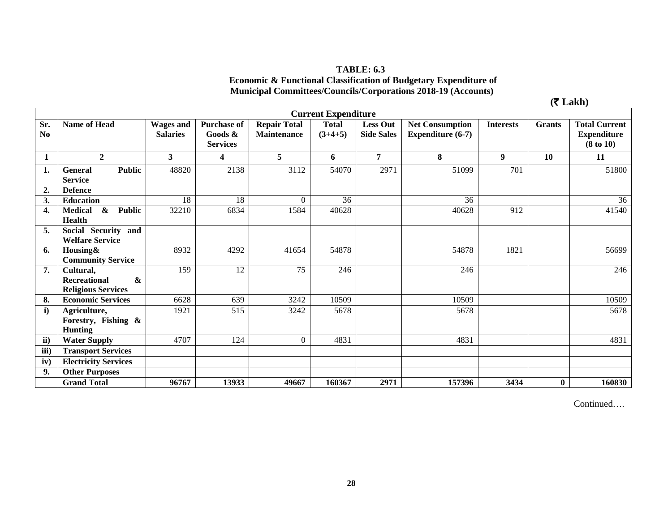# **TABLE: 6.3 Economic & Functional Classification of Budgetary Expenditure of Municipal Committees/Councils/Corporations 2018-19 (Accounts)**

 $(\mathbf{\bar{\mathcal{F}}} \mathbf{Lakh})$ 

|                       | <b>Current Expenditure</b>                                                  |                                     |                                                     |                                    |                           |                                      |                                               |                  |               |                                                                    |
|-----------------------|-----------------------------------------------------------------------------|-------------------------------------|-----------------------------------------------------|------------------------------------|---------------------------|--------------------------------------|-----------------------------------------------|------------------|---------------|--------------------------------------------------------------------|
| Sr.<br>N <sub>0</sub> | Name of Head                                                                | <b>Wages and</b><br><b>Salaries</b> | <b>Purchase of</b><br>Goods $\&$<br><b>Services</b> | <b>Repair Total</b><br>Maintenance | <b>Total</b><br>$(3+4+5)$ | <b>Less Out</b><br><b>Side Sales</b> | <b>Net Consumption</b><br>Expenditure $(6-7)$ | <b>Interests</b> | <b>Grants</b> | <b>Total Current</b><br><b>Expenditure</b><br>$(8 \text{ to } 10)$ |
| 1                     | $\overline{2}$                                                              | $\overline{\mathbf{3}}$             | $\overline{\mathbf{4}}$                             | 5                                  | 6                         | $\overline{7}$                       | 8                                             | $\boldsymbol{9}$ | 10            | 11                                                                 |
| 1.                    | <b>Public</b><br><b>General</b><br><b>Service</b>                           | 48820                               | 2138                                                | 3112                               | 54070                     | 2971                                 | 51099                                         | 701              |               | 51800                                                              |
| $\overline{2}$ .      | <b>Defence</b>                                                              |                                     |                                                     |                                    |                           |                                      |                                               |                  |               |                                                                    |
| 3.                    | <b>Education</b>                                                            | 18                                  | 18                                                  | $\Omega$                           | 36                        |                                      | 36                                            |                  |               | 36                                                                 |
| 4.                    | $\boldsymbol{\&}$<br><b>Public</b><br><b>Medical</b><br>Health              | 32210                               | 6834                                                | 1584                               | 40628                     |                                      | 40628                                         | 912              |               | 41540                                                              |
| 5.                    | Social Security<br>and<br><b>Welfare Service</b>                            |                                     |                                                     |                                    |                           |                                      |                                               |                  |               |                                                                    |
| 6.                    | Housing&<br><b>Community Service</b>                                        | 8932                                | 4292                                                | 41654                              | 54878                     |                                      | 54878                                         | 1821             |               | 56699                                                              |
| 7.                    | Cultural,<br>$\boldsymbol{\&}$<br>Recreational<br><b>Religious Services</b> | 159                                 | 12                                                  | 75                                 | 246                       |                                      | 246                                           |                  |               | 246                                                                |
| 8.                    | <b>Economic Services</b>                                                    | 6628                                | 639                                                 | 3242                               | 10509                     |                                      | 10509                                         |                  |               | 10509                                                              |
| $\mathbf{i}$          | Agriculture,<br>Forestry, Fishing &<br><b>Hunting</b>                       | 1921                                | 515                                                 | 3242                               | 5678                      |                                      | 5678                                          |                  |               | 5678                                                               |
| ii)                   | <b>Water Supply</b>                                                         | 4707                                | 124                                                 | $\overline{0}$                     | 4831                      |                                      | 4831                                          |                  |               | 4831                                                               |
| iii)                  | <b>Transport Services</b>                                                   |                                     |                                                     |                                    |                           |                                      |                                               |                  |               |                                                                    |
| iv)                   | <b>Electricity Services</b>                                                 |                                     |                                                     |                                    |                           |                                      |                                               |                  |               |                                                                    |
| 9.                    | <b>Other Purposes</b>                                                       |                                     |                                                     |                                    |                           |                                      |                                               |                  |               |                                                                    |
|                       | <b>Grand Total</b>                                                          | 96767                               | 13933                                               | 49667                              | 160367                    | 2971                                 | 157396                                        | 3434             | $\bf{0}$      | 160830                                                             |

Continued….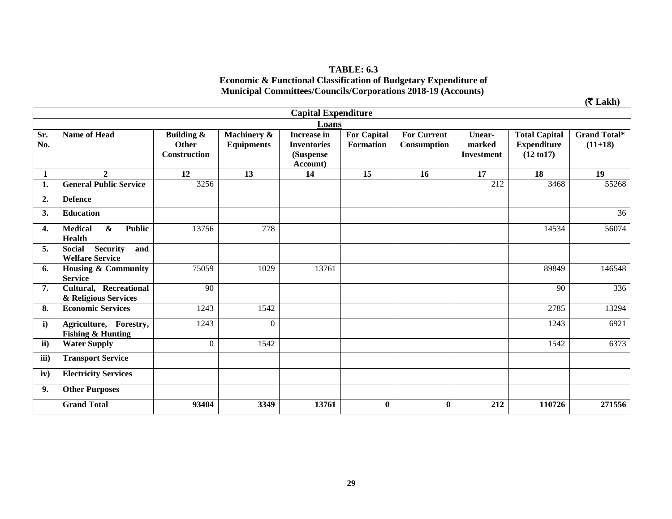#### **TABLE: 6.3 Economic & Functional Classification of Budgetary Expenditure of Municipal Committees/Councils/Corporations 2018-19 (Accounts)**

|              |                                                                       |                                                              |                                  |                                                                   |                                        |                                   |                                       |                                                                     | $($ ₹ Lakh $)$                   |  |
|--------------|-----------------------------------------------------------------------|--------------------------------------------------------------|----------------------------------|-------------------------------------------------------------------|----------------------------------------|-----------------------------------|---------------------------------------|---------------------------------------------------------------------|----------------------------------|--|
|              | <b>Capital Expenditure</b>                                            |                                                              |                                  |                                                                   |                                        |                                   |                                       |                                                                     |                                  |  |
|              | Loans                                                                 |                                                              |                                  |                                                                   |                                        |                                   |                                       |                                                                     |                                  |  |
| Sr.<br>No.   | <b>Name of Head</b>                                                   | <b>Building &amp;</b><br><b>Other</b><br><b>Construction</b> | Machinery &<br><b>Equipments</b> | <b>Increase in</b><br><b>Inventories</b><br>(Suspense<br>Account) | <b>For Capital</b><br><b>Formation</b> | <b>For Current</b><br>Consumption | Unear-<br>marked<br><b>Investment</b> | <b>Total Capital</b><br><b>Expenditure</b><br>$(12 \text{ to } 17)$ | <b>Grand Total*</b><br>$(11+18)$ |  |
| 1            | $\overline{2}$                                                        | 12                                                           | 13                               | 14                                                                | 15                                     | 16                                | $\overline{17}$                       | 18                                                                  | 19                               |  |
| 1.           | <b>General Public Service</b>                                         | 3256                                                         |                                  |                                                                   |                                        |                                   | 212                                   | 3468                                                                | 55268                            |  |
| 2.           | <b>Defence</b>                                                        |                                                              |                                  |                                                                   |                                        |                                   |                                       |                                                                     |                                  |  |
| 3.           | <b>Education</b>                                                      |                                                              |                                  |                                                                   |                                        |                                   |                                       |                                                                     | 36                               |  |
| 4.           | $\boldsymbol{\&}$<br><b>Public</b><br><b>Medical</b><br><b>Health</b> | 13756                                                        | 778                              |                                                                   |                                        |                                   |                                       | 14534                                                               | 56074                            |  |
| 5.           | Security<br><b>Social</b><br>and<br><b>Welfare Service</b>            |                                                              |                                  |                                                                   |                                        |                                   |                                       |                                                                     |                                  |  |
| 6.           | Housing & Community<br><b>Service</b>                                 | 75059                                                        | 1029                             | 13761                                                             |                                        |                                   |                                       | 89849                                                               | 146548                           |  |
| 7.           | <b>Cultural, Recreational</b><br>& Religious Services                 | 90                                                           |                                  |                                                                   |                                        |                                   |                                       | 90                                                                  | 336                              |  |
| 8.           | <b>Economic Services</b>                                              | 1243                                                         | 1542                             |                                                                   |                                        |                                   |                                       | 2785                                                                | 13294                            |  |
| $\mathbf{i}$ | Agriculture, Forestry,<br><b>Fishing &amp; Hunting</b>                | 1243                                                         | $\Omega$                         |                                                                   |                                        |                                   |                                       | 1243                                                                | 6921                             |  |
| ii)          | <b>Water Supply</b>                                                   | $\theta$                                                     | 1542                             |                                                                   |                                        |                                   |                                       | 1542                                                                | 6373                             |  |
| iii)         | <b>Transport Service</b>                                              |                                                              |                                  |                                                                   |                                        |                                   |                                       |                                                                     |                                  |  |
| iv)          | <b>Electricity Services</b>                                           |                                                              |                                  |                                                                   |                                        |                                   |                                       |                                                                     |                                  |  |
| 9.           | <b>Other Purposes</b>                                                 |                                                              |                                  |                                                                   |                                        |                                   |                                       |                                                                     |                                  |  |
|              | <b>Grand Total</b>                                                    | 93404                                                        | 3349                             | 13761                                                             | $\bf{0}$                               | $\bf{0}$                          | 212                                   | 110726                                                              | 271556                           |  |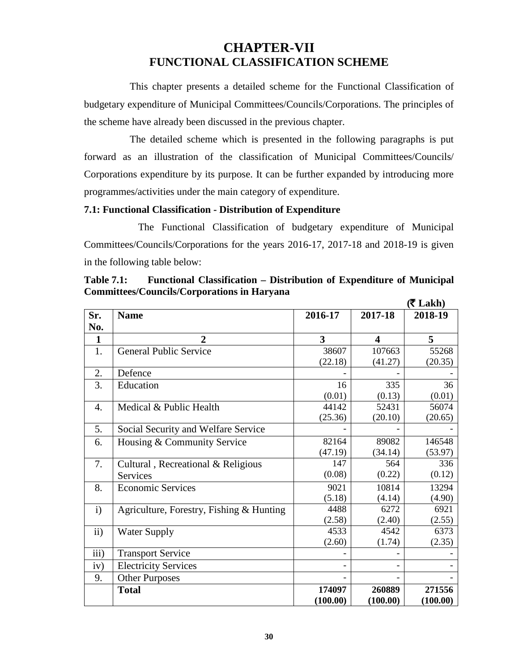# **CHAPTER-VII FUNCTIONAL CLASSIFICATION SCHEME**

 This chapter presents a detailed scheme for the Functional Classification of budgetary expenditure of Municipal Committees/Councils/Corporations. The principles of the scheme have already been discussed in the previous chapter.

 The detailed scheme which is presented in the following paragraphs is put forward as an illustration of the classification of Municipal Committees/Councils/ Corporations expenditure by its purpose. It can be further expanded by introducing more programmes/activities under the main category of expenditure.

#### **7.1: Functional Classification - Distribution of Expenditure**

The Functional Classification of budgetary expenditure of Municipal Committees/Councils/Corporations for the years 2016-17, 2017-18 and 2018-19 is given in the following table below:

|               |                                          |                              |                         | $($ ₹ Lakh $)$ |
|---------------|------------------------------------------|------------------------------|-------------------------|----------------|
| Sr.           | <b>Name</b>                              | 2016-17                      | 2017-18                 | 2018-19        |
| No.           |                                          |                              |                         |                |
| $\mathbf{1}$  | $\mathbf{2}$                             | 3                            | $\overline{\mathbf{4}}$ | 5              |
| 1.            | <b>General Public Service</b>            | 38607                        | 107663                  | 55268          |
|               |                                          | (22.18)                      | (41.27)                 | (20.35)        |
| 2.            | Defence                                  |                              |                         |                |
| 3.            | Education                                | 16                           | 335                     | 36             |
|               |                                          | (0.01)                       | (0.13)                  | (0.01)         |
| 4.            | Medical & Public Health                  | 44142                        | 52431                   | 56074          |
|               |                                          | (25.36)                      | (20.10)                 | (20.65)        |
| 5.            | Social Security and Welfare Service      |                              |                         |                |
| 6.            | Housing & Community Service              | 82164                        | 89082                   | 146548         |
|               |                                          | (47.19)                      | (34.14)                 | (53.97)        |
| 7.            | Cultural, Recreational & Religious       | 147                          | 564                     | 336            |
|               | <b>Services</b>                          | (0.08)                       | (0.22)                  | (0.12)         |
| 8.            | <b>Economic Services</b>                 | 9021                         | 10814                   | 13294          |
|               |                                          | (5.18)                       | (4.14)                  | (4.90)         |
| $\mathbf{i}$  | Agriculture, Forestry, Fishing & Hunting | 4488                         | 6272                    | 6921           |
|               |                                          | (2.58)                       | (2.40)                  | (2.55)         |
| $\mathbf{ii}$ | <b>Water Supply</b>                      | 4533                         | 4542                    | 6373           |
|               |                                          | (2.60)                       | (1.74)                  | (2.35)         |
| iii)          | <b>Transport Service</b>                 |                              |                         |                |
| iv)           | <b>Electricity Services</b>              | $\qquad \qquad \blacksquare$ |                         |                |
| 9.            | <b>Other Purposes</b>                    |                              |                         |                |
|               | <b>Total</b>                             | 174097                       | 260889                  | 271556         |
|               |                                          | (100.00)                     | (100.00)                | (100.00)       |

**Table 7.1: Functional Classification – Distribution of Expenditure of Municipal Committees/Councils/Corporations in Haryana**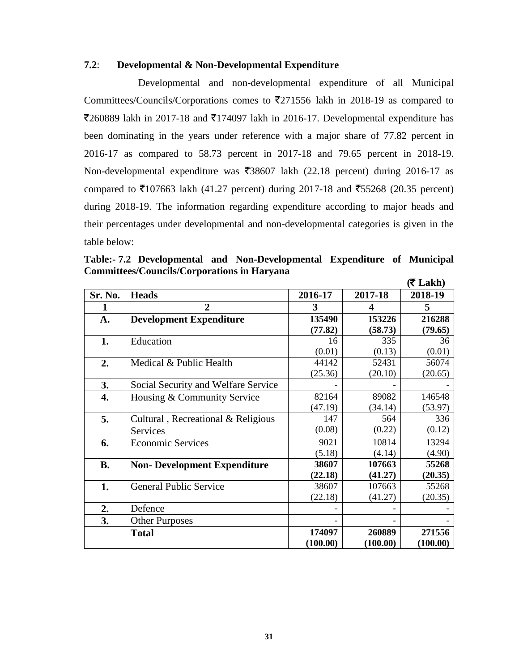#### **7.2**: **Developmental & Non-Developmental Expenditure**

Developmental and non-developmental expenditure of all Municipal Committees/Councils/Corporations comes to  $\overline{5}271556$  lakh in 2018-19 as compared to  $\overline{2}$ 60889 lakh in 2017-18 and  $\overline{2}$ 174097 lakh in 2016-17. Developmental expenditure has been dominating in the years under reference with a major share of 77.82 percent in 2016-17 as compared to 58.73 percent in 2017-18 and 79.65 percent in 2018-19. Non-developmental expenditure was  $\overline{38607}$  lakh (22.18 percent) during 2016-17 as compared to  $\overline{5}107663$  lakh (41.27 percent) during 2017-18 and  $\overline{5}5268$  (20.35 percent) during 2018-19. The information regarding expenditure according to major heads and their percentages under developmental and non-developmental categories is given in the table below:

|           |                                     |          |                  | $(5$ Lakh) |
|-----------|-------------------------------------|----------|------------------|------------|
| Sr. No.   | <b>Heads</b>                        | 2016-17  | 2017-18          | 2018-19    |
| 1         | $\overline{2}$                      | 3        | $\boldsymbol{4}$ | 5          |
| A.        | <b>Development Expenditure</b>      | 135490   | 153226           | 216288     |
|           |                                     | (77.82)  | (58.73)          | (79.65)    |
| 1.        | Education                           | 16       | 335              | 36         |
|           |                                     | (0.01)   | (0.13)           | (0.01)     |
| 2.        | Medical & Public Health             | 44142    | 52431            | 56074      |
|           |                                     | (25.36)  | (20.10)          | (20.65)    |
| 3.        | Social Security and Welfare Service |          |                  |            |
| 4.        | Housing & Community Service         | 82164    | 89082            | 146548     |
|           |                                     | (47.19)  | (34.14)          | (53.97)    |
| 5.        | Cultural, Recreational & Religious  | 147      | 564              | 336        |
|           | Services                            | (0.08)   | (0.22)           | (0.12)     |
| 6.        | <b>Economic Services</b>            | 9021     | 10814            | 13294      |
|           |                                     | (5.18)   | (4.14)           | (4.90)     |
| <b>B.</b> | <b>Non-Development Expenditure</b>  | 38607    | 107663           | 55268      |
|           |                                     | (22.18)  | (41.27)          | (20.35)    |
| 1.        | <b>General Public Service</b>       | 38607    | 107663           | 55268      |
|           |                                     | (22.18)  | (41.27)          | (20.35)    |
| 2.        | Defence                             |          |                  |            |
| 3.        | <b>Other Purposes</b>               |          |                  |            |
|           | <b>Total</b>                        | 174097   | 260889           | 271556     |
|           |                                     | (100.00) | (100.00)         | (100.00)   |

**Table:- 7.2 Developmental and Non-Developmental Expenditure of Municipal Committees/Councils/Corporations in Haryana**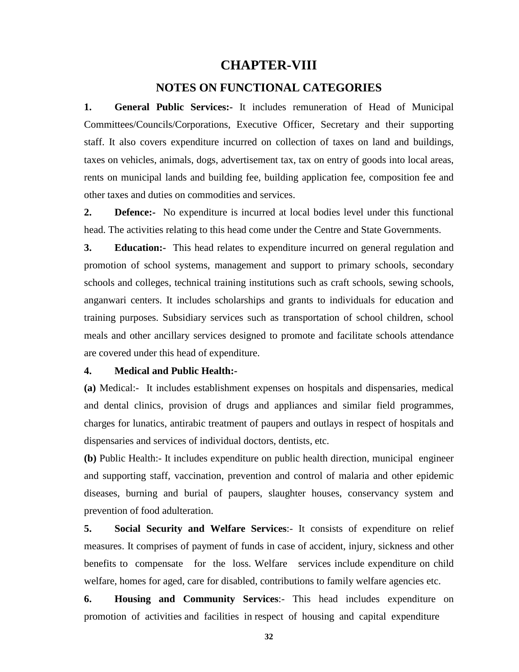### **CHAPTER-VIII**

#### **NOTES ON FUNCTIONAL CATEGORIES**

**1. General Public Services:-** It includes remuneration of Head of Municipal Committees/Councils/Corporations, Executive Officer, Secretary and their supporting staff. It also covers expenditure incurred on collection of taxes on land and buildings, taxes on vehicles, animals, dogs, advertisement tax, tax on entry of goods into local areas, rents on municipal lands and building fee, building application fee, composition fee and other taxes and duties on commodities and services.

**2. Defence:-** No expenditure is incurred at local bodies level under this functional head. The activities relating to this head come under the Centre and State Governments.

**3. Education:-** This head relates to expenditure incurred on general regulation and promotion of school systems, management and support to primary schools, secondary schools and colleges, technical training institutions such as craft schools, sewing schools, anganwari centers. It includes scholarships and grants to individuals for education and training purposes. Subsidiary services such as transportation of school children, school meals and other ancillary services designed to promote and facilitate schools attendance are covered under this head of expenditure.

#### **4. Medical and Public Health:-**

**(a)** Medical:- It includes establishment expenses on hospitals and dispensaries, medical and dental clinics, provision of drugs and appliances and similar field programmes, charges for lunatics, antirabic treatment of paupers and outlays in respect of hospitals and dispensaries and services of individual doctors, dentists, etc.

**(b)** Public Health:- It includes expenditure on public health direction, municipal engineer and supporting staff, vaccination, prevention and control of malaria and other epidemic diseases, burning and burial of paupers, slaughter houses, conservancy system and prevention of food adulteration.

**5. Social Security and Welfare Services**:- It consists of expenditure on relief measures. It comprises of payment of funds in case of accident, injury, sickness and other benefits to compensate for the loss. Welfare services include expenditure on child welfare, homes for aged, care for disabled, contributions to family welfare agencies etc.

**6. Housing and Community Services**:- This head includes expenditure on promotion of activities and facilities in respect of housing and capital expenditure